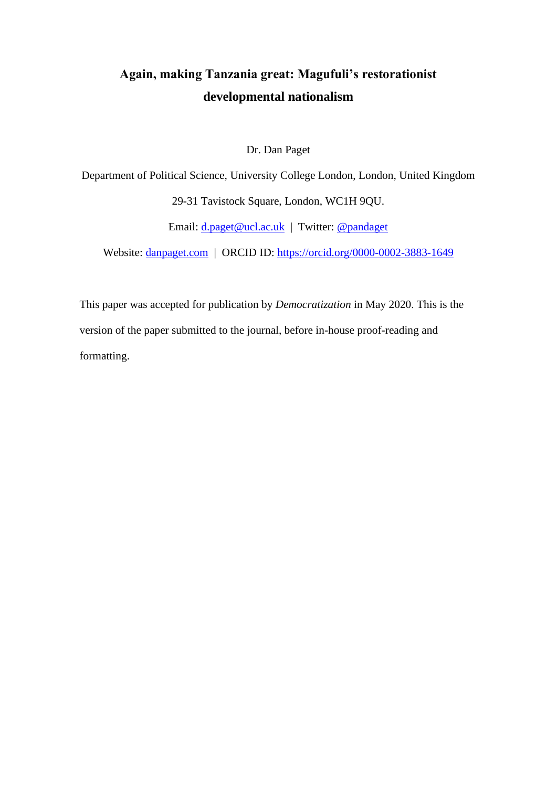# **Again, making Tanzania great: Magufuli's restorationist developmental nationalism**

Dr. Dan Paget

Department of Political Science, University College London, London, United Kingdom 29-31 Tavistock Square, London, WC1H 9QU.

Email: <u>d.paget@ucl.ac.uk</u> | Twitter: <u>@pandaget</u>

Website: <u>danpaget.com</u> | ORCID ID:<https://orcid.org/0000-0002-3883-1649>

This paper was accepted for publication by *Democratization* in May 2020. This is the version of the paper submitted to the journal, before in-house proof-reading and formatting.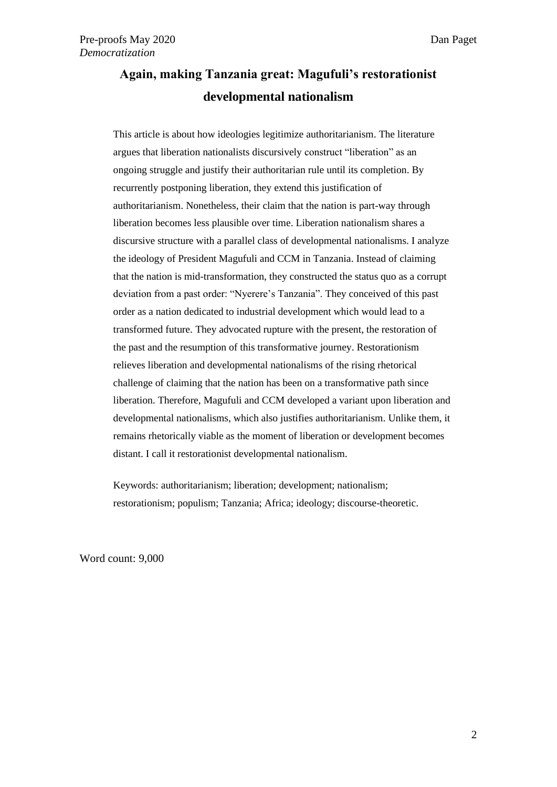# **Again, making Tanzania great: Magufuli's restorationist developmental nationalism**

This article is about how ideologies legitimize authoritarianism. The literature argues that liberation nationalists discursively construct "liberation" as an ongoing struggle and justify their authoritarian rule until its completion. By recurrently postponing liberation, they extend this justification of authoritarianism. Nonetheless, their claim that the nation is part-way through liberation becomes less plausible over time. Liberation nationalism shares a discursive structure with a parallel class of developmental nationalisms. I analyze the ideology of President Magufuli and CCM in Tanzania. Instead of claiming that the nation is mid-transformation, they constructed the status quo as a corrupt deviation from a past order: "Nyerere's Tanzania". They conceived of this past order as a nation dedicated to industrial development which would lead to a transformed future. They advocated rupture with the present, the restoration of the past and the resumption of this transformative journey. Restorationism relieves liberation and developmental nationalisms of the rising rhetorical challenge of claiming that the nation has been on a transformative path since liberation. Therefore, Magufuli and CCM developed a variant upon liberation and developmental nationalisms, which also justifies authoritarianism. Unlike them, it remains rhetorically viable as the moment of liberation or development becomes distant. I call it restorationist developmental nationalism.

Keywords: authoritarianism; liberation; development; nationalism; restorationism; populism; Tanzania; Africa; ideology; discourse-theoretic.

Word count: 9,000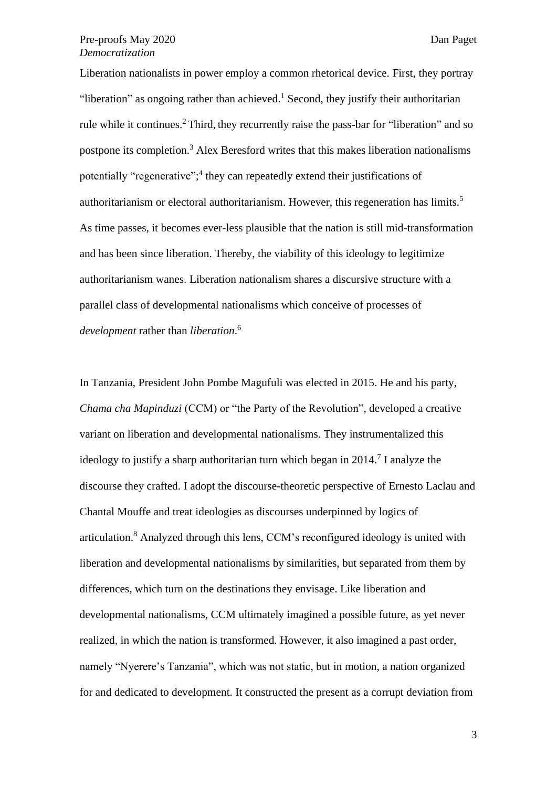Liberation nationalists in power employ a common rhetorical device. First, they portray "liberation" as ongoing rather than achieved.<sup>1</sup> Second, they justify their authoritarian rule while it continues.<sup>2</sup> Third, they recurrently raise the pass-bar for "liberation" and so postpone its completion.<sup>3</sup> Alex Beresford writes that this makes liberation nationalisms potentially "regenerative";<sup>4</sup> they can repeatedly extend their justifications of authoritarianism or electoral authoritarianism. However, this regeneration has limits.<sup>5</sup> As time passes, it becomes ever-less plausible that the nation is still mid-transformation and has been since liberation. Thereby, the viability of this ideology to legitimize authoritarianism wanes. Liberation nationalism shares a discursive structure with a parallel class of developmental nationalisms which conceive of processes of *development* rather than *liberation*. 6

In Tanzania, President John Pombe Magufuli was elected in 2015. He and his party, *Chama cha Mapinduzi* (CCM) or "the Party of the Revolution", developed a creative variant on liberation and developmental nationalisms. They instrumentalized this ideology to justify a sharp authoritarian turn which began in 2014.<sup>7</sup> I analyze the discourse they crafted. I adopt the discourse-theoretic perspective of Ernesto Laclau and Chantal Mouffe and treat ideologies as discourses underpinned by logics of articulation. <sup>8</sup> Analyzed through this lens, CCM's reconfigured ideology is united with liberation and developmental nationalisms by similarities, but separated from them by differences, which turn on the destinations they envisage. Like liberation and developmental nationalisms, CCM ultimately imagined a possible future, as yet never realized, in which the nation is transformed. However, it also imagined a past order, namely "Nyerere's Tanzania", which was not static, but in motion, a nation organized for and dedicated to development. It constructed the present as a corrupt deviation from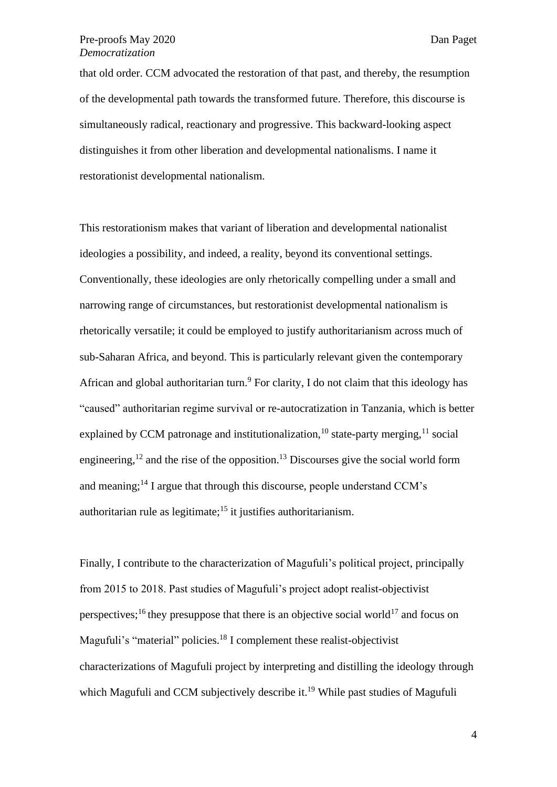that old order. CCM advocated the restoration of that past, and thereby, the resumption of the developmental path towards the transformed future. Therefore, this discourse is simultaneously radical, reactionary and progressive. This backward-looking aspect distinguishes it from other liberation and developmental nationalisms. I name it restorationist developmental nationalism.

This restorationism makes that variant of liberation and developmental nationalist ideologies a possibility, and indeed, a reality, beyond its conventional settings. Conventionally, these ideologies are only rhetorically compelling under a small and narrowing range of circumstances, but restorationist developmental nationalism is rhetorically versatile; it could be employed to justify authoritarianism across much of sub-Saharan Africa, and beyond. This is particularly relevant given the contemporary African and global authoritarian turn.<sup>9</sup> For clarity, I do not claim that this ideology has "caused" authoritarian regime survival or re-autocratization in Tanzania, which is better explained by CCM patronage and institutionalization,<sup>10</sup> state-party merging,<sup>11</sup> social engineering,<sup>12</sup> and the rise of the opposition.<sup>13</sup> Discourses give the social world form and meaning;<sup>14</sup> I argue that through this discourse, people understand CCM's authoritarian rule as legitimate;  $15$  it justifies authoritarianism.

Finally, I contribute to the characterization of Magufuli's political project, principally from 2015 to 2018. Past studies of Magufuli's project adopt realist-objectivist perspectives;<sup>16</sup> they presuppose that there is an objective social world<sup>17</sup> and focus on Magufuli's "material" policies.<sup>18</sup> I complement these realist-objectivist characterizations of Magufuli project by interpreting and distilling the ideology through which Magufuli and CCM subjectively describe it.<sup>19</sup> While past studies of Magufuli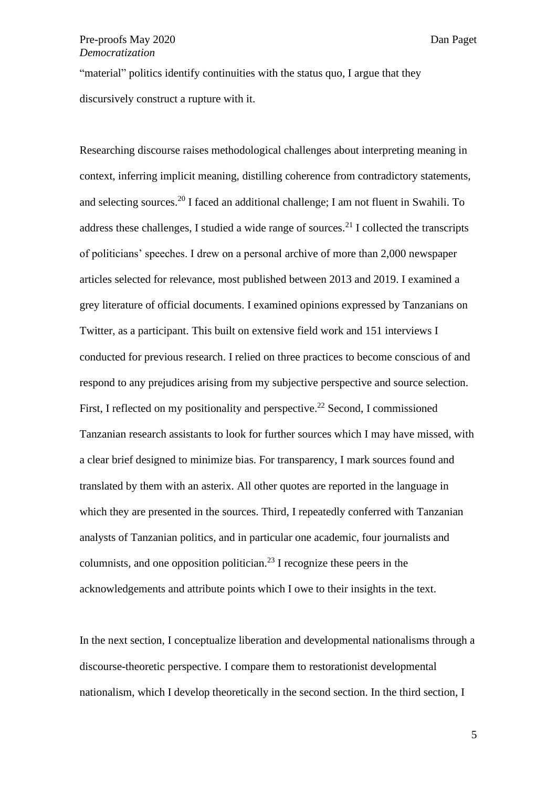"material" politics identify continuities with the status quo, I argue that they discursively construct a rupture with it.

Researching discourse raises methodological challenges about interpreting meaning in context, inferring implicit meaning, distilling coherence from contradictory statements, and selecting sources. <sup>20</sup> I faced an additional challenge; I am not fluent in Swahili. To address these challenges, I studied a wide range of sources.<sup>21</sup> I collected the transcripts of politicians' speeches. I drew on a personal archive of more than 2,000 newspaper articles selected for relevance, most published between 2013 and 2019. I examined a grey literature of official documents. I examined opinions expressed by Tanzanians on Twitter, as a participant. This built on extensive field work and 151 interviews I conducted for previous research. I relied on three practices to become conscious of and respond to any prejudices arising from my subjective perspective and source selection. First, I reflected on my positionality and perspective.<sup>22</sup> Second, I commissioned Tanzanian research assistants to look for further sources which I may have missed, with a clear brief designed to minimize bias. For transparency, I mark sources found and translated by them with an asterix. All other quotes are reported in the language in which they are presented in the sources. Third, I repeatedly conferred with Tanzanian analysts of Tanzanian politics, and in particular one academic, four journalists and columnists, and one opposition politician.<sup>23</sup> I recognize these peers in the acknowledgements and attribute points which I owe to their insights in the text.

In the next section, I conceptualize liberation and developmental nationalisms through a discourse-theoretic perspective. I compare them to restorationist developmental nationalism, which I develop theoretically in the second section. In the third section, I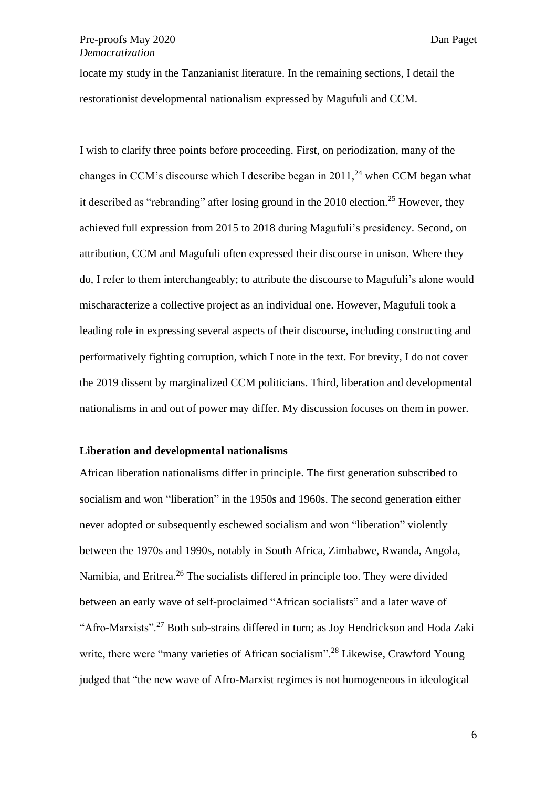locate my study in the Tanzanianist literature. In the remaining sections, I detail the restorationist developmental nationalism expressed by Magufuli and CCM.

I wish to clarify three points before proceeding. First, on periodization, many of the changes in CCM's discourse which I describe began in  $2011<sup>24</sup>$  when CCM began what it described as "rebranding" after losing ground in the 2010 election.<sup>25</sup> However, they achieved full expression from 2015 to 2018 during Magufuli's presidency. Second, on attribution, CCM and Magufuli often expressed their discourse in unison. Where they do, I refer to them interchangeably; to attribute the discourse to Magufuli's alone would mischaracterize a collective project as an individual one. However, Magufuli took a leading role in expressing several aspects of their discourse, including constructing and performatively fighting corruption, which I note in the text. For brevity, I do not cover the 2019 dissent by marginalized CCM politicians. Third, liberation and developmental nationalisms in and out of power may differ. My discussion focuses on them in power.

## **Liberation and developmental nationalisms**

African liberation nationalisms differ in principle. The first generation subscribed to socialism and won "liberation" in the 1950s and 1960s. The second generation either never adopted or subsequently eschewed socialism and won "liberation" violently between the 1970s and 1990s, notably in South Africa, Zimbabwe, Rwanda, Angola, Namibia, and Eritrea.<sup>26</sup> The socialists differed in principle too. They were divided between an early wave of self-proclaimed "African socialists" and a later wave of "Afro-Marxists".<sup>27</sup> Both sub-strains differed in turn; as Joy Hendrickson and Hoda Zaki write, there were "many varieties of African socialism".<sup>28</sup> Likewise, Crawford Young judged that "the new wave of Afro-Marxist regimes is not homogeneous in ideological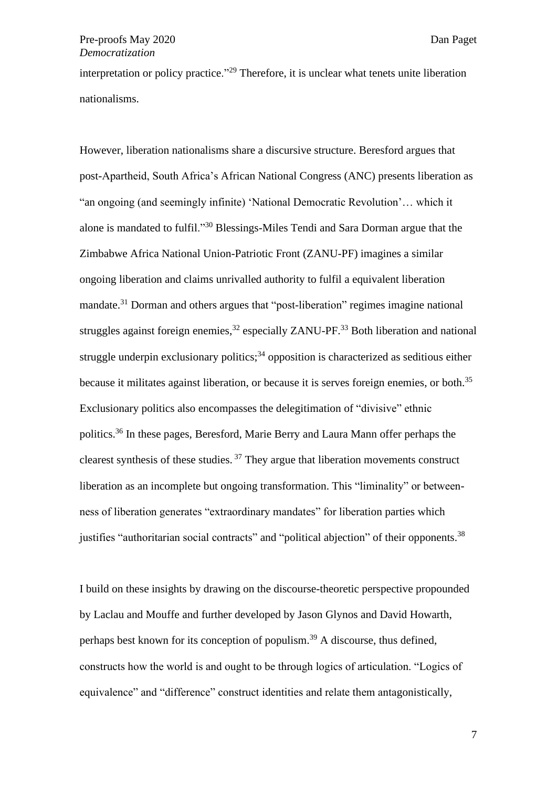interpretation or policy practice."<sup>29</sup> Therefore, it is unclear what tenets unite liberation nationalisms.

However, liberation nationalisms share a discursive structure. Beresford argues that post-Apartheid, South Africa's African National Congress (ANC) presents liberation as "an ongoing (and seemingly infinite) 'National Democratic Revolution'… which it alone is mandated to fulfil."<sup>30</sup> Blessings-Miles Tendi and Sara Dorman argue that the Zimbabwe Africa National Union-Patriotic Front (ZANU-PF) imagines a similar ongoing liberation and claims unrivalled authority to fulfil a equivalent liberation mandate.<sup>31</sup> Dorman and others argues that "post-liberation" regimes imagine national struggles against foreign enemies,<sup>32</sup> especially ZANU-PF.<sup>33</sup> Both liberation and national struggle underpin exclusionary politics;<sup>34</sup> opposition is characterized as seditious either because it militates against liberation, or because it is serves foreign enemies, or both.<sup>35</sup> Exclusionary politics also encompasses the delegitimation of "divisive" ethnic politics.<sup>36</sup> In these pages, Beresford, Marie Berry and Laura Mann offer perhaps the clearest synthesis of these studies.  $37$  They argue that liberation movements construct liberation as an incomplete but ongoing transformation. This "liminality" or betweenness of liberation generates "extraordinary mandates" for liberation parties which justifies "authoritarian social contracts" and "political abjection" of their opponents.<sup>38</sup>

I build on these insights by drawing on the discourse-theoretic perspective propounded by Laclau and Mouffe and further developed by Jason Glynos and David Howarth, perhaps best known for its conception of populism.<sup>39</sup> A discourse, thus defined, constructs how the world is and ought to be through logics of articulation. "Logics of equivalence" and "difference" construct identities and relate them antagonistically,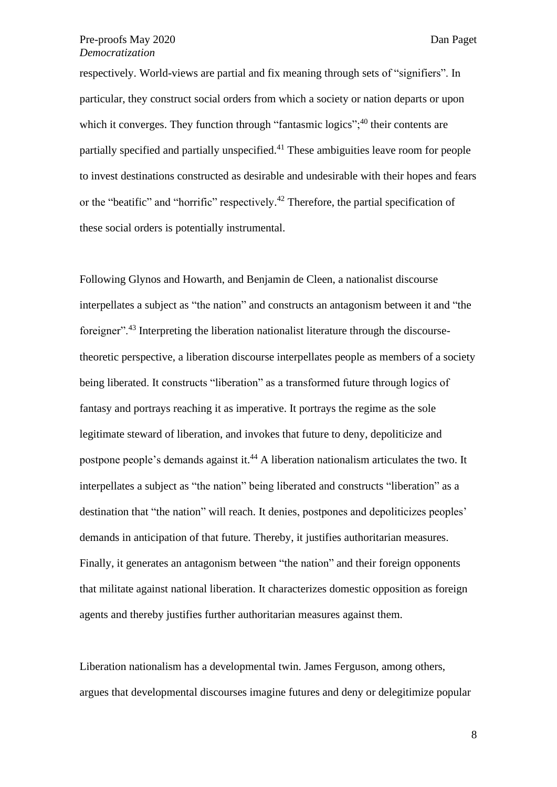respectively. World-views are partial and fix meaning through sets of "signifiers". In particular, they construct social orders from which a society or nation departs or upon which it converges. They function through "fantasmic logics";<sup>40</sup> their contents are partially specified and partially unspecified.<sup>41</sup> These ambiguities leave room for people to invest destinations constructed as desirable and undesirable with their hopes and fears or the "beatific" and "horrific" respectively.<sup>42</sup> Therefore, the partial specification of these social orders is potentially instrumental.

Following Glynos and Howarth, and Benjamin de Cleen, a nationalist discourse interpellates a subject as "the nation" and constructs an antagonism between it and "the foreigner".<sup>43</sup> Interpreting the liberation nationalist literature through the discoursetheoretic perspective, a liberation discourse interpellates people as members of a society being liberated. It constructs "liberation" as a transformed future through logics of fantasy and portrays reaching it as imperative. It portrays the regime as the sole legitimate steward of liberation, and invokes that future to deny, depoliticize and postpone people's demands against it.<sup>44</sup> A liberation nationalism articulates the two. It interpellates a subject as "the nation" being liberated and constructs "liberation" as a destination that "the nation" will reach. It denies, postpones and depoliticizes peoples' demands in anticipation of that future. Thereby, it justifies authoritarian measures. Finally, it generates an antagonism between "the nation" and their foreign opponents that militate against national liberation. It characterizes domestic opposition as foreign agents and thereby justifies further authoritarian measures against them.

Liberation nationalism has a developmental twin. James Ferguson, among others, argues that developmental discourses imagine futures and deny or delegitimize popular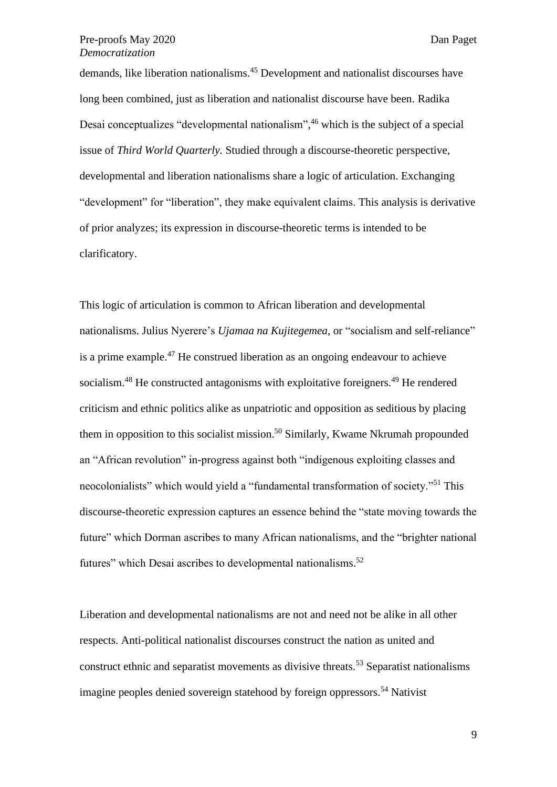demands, like liberation nationalisms.<sup>45</sup> Development and nationalist discourses have long been combined, just as liberation and nationalist discourse have been. Radika Desai conceptualizes "developmental nationalism", <sup>46</sup> which is the subject of a special issue of *Third World Quarterly.* Studied through a discourse-theoretic perspective, developmental and liberation nationalisms share a logic of articulation. Exchanging "development" for "liberation", they make equivalent claims. This analysis is derivative of prior analyzes; its expression in discourse-theoretic terms is intended to be clarificatory.

This logic of articulation is common to African liberation and developmental nationalisms. Julius Nyerere's *Ujamaa na Kujitegemea*, or "socialism and self-reliance" is a prime example.<sup>47</sup> He construed liberation as an ongoing endeavour to achieve socialism.<sup>48</sup> He constructed antagonisms with exploitative foreigners.<sup>49</sup> He rendered criticism and ethnic politics alike as unpatriotic and opposition as seditious by placing them in opposition to this socialist mission.<sup>50</sup> Similarly, Kwame Nkrumah propounded an "African revolution" in-progress against both "indigenous exploiting classes and neocolonialists" which would yield a "fundamental transformation of society."<sup>51</sup> This discourse-theoretic expression captures an essence behind the "state moving towards the future" which Dorman ascribes to many African nationalisms, and the "brighter national futures" which Desai ascribes to developmental nationalisms.<sup>52</sup>

Liberation and developmental nationalisms are not and need not be alike in all other respects. Anti-political nationalist discourses construct the nation as united and construct ethnic and separatist movements as divisive threats.<sup>53</sup> Separatist nationalisms imagine peoples denied sovereign statehood by foreign oppressors.<sup>54</sup> Nativist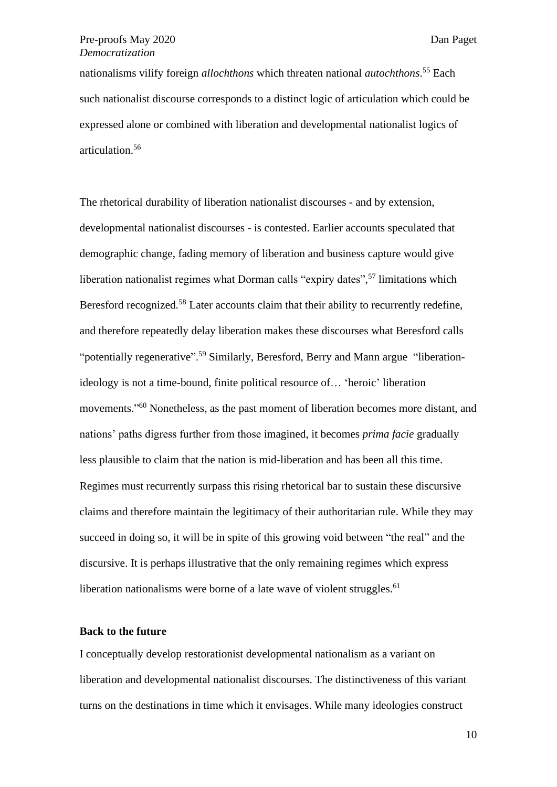nationalisms vilify foreign *allochthons* which threaten national *autochthons*. <sup>55</sup> Each such nationalist discourse corresponds to a distinct logic of articulation which could be expressed alone or combined with liberation and developmental nationalist logics of articulation. 56

The rhetorical durability of liberation nationalist discourses - and by extension, developmental nationalist discourses - is contested. Earlier accounts speculated that demographic change, fading memory of liberation and business capture would give liberation nationalist regimes what Dorman calls "expiry dates",<sup>57</sup> limitations which Beresford recognized.<sup>58</sup> Later accounts claim that their ability to recurrently redefine, and therefore repeatedly delay liberation makes these discourses what Beresford calls "potentially regenerative".<sup>59</sup> Similarly, Beresford, Berry and Mann argue "liberationideology is not a time-bound, finite political resource of… 'heroic' liberation movements." <sup>60</sup> Nonetheless, as the past moment of liberation becomes more distant, and nations' paths digress further from those imagined, it becomes *prima facie* gradually less plausible to claim that the nation is mid-liberation and has been all this time. Regimes must recurrently surpass this rising rhetorical bar to sustain these discursive claims and therefore maintain the legitimacy of their authoritarian rule. While they may succeed in doing so, it will be in spite of this growing void between "the real" and the discursive. It is perhaps illustrative that the only remaining regimes which express liberation nationalisms were borne of a late wave of violent struggles. $61$ 

# **Back to the future**

I conceptually develop restorationist developmental nationalism as a variant on liberation and developmental nationalist discourses. The distinctiveness of this variant turns on the destinations in time which it envisages. While many ideologies construct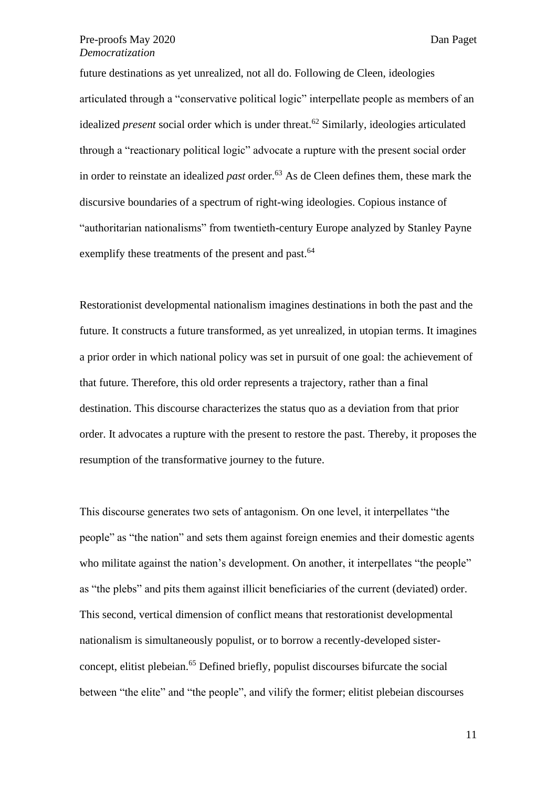future destinations as yet unrealized, not all do. Following de Cleen, ideologies articulated through a "conservative political logic" interpellate people as members of an idealized *present* social order which is under threat.<sup>62</sup> Similarly, ideologies articulated through a "reactionary political logic" advocate a rupture with the present social order in order to reinstate an idealized *past* order.<sup>63</sup> As de Cleen defines them, these mark the discursive boundaries of a spectrum of right-wing ideologies. Copious instance of "authoritarian nationalisms" from twentieth-century Europe analyzed by Stanley Payne exemplify these treatments of the present and past.<sup>64</sup>

Restorationist developmental nationalism imagines destinations in both the past and the future. It constructs a future transformed, as yet unrealized, in utopian terms. It imagines a prior order in which national policy was set in pursuit of one goal: the achievement of that future. Therefore, this old order represents a trajectory, rather than a final destination. This discourse characterizes the status quo as a deviation from that prior order. It advocates a rupture with the present to restore the past. Thereby, it proposes the resumption of the transformative journey to the future.

This discourse generates two sets of antagonism. On one level, it interpellates "the people" as "the nation" and sets them against foreign enemies and their domestic agents who militate against the nation's development. On another, it interpellates "the people" as "the plebs" and pits them against illicit beneficiaries of the current (deviated) order. This second, vertical dimension of conflict means that restorationist developmental nationalism is simultaneously populist, or to borrow a recently-developed sisterconcept, elitist plebeian.<sup>65</sup> Defined briefly, populist discourses bifurcate the social between "the elite" and "the people", and vilify the former; elitist plebeian discourses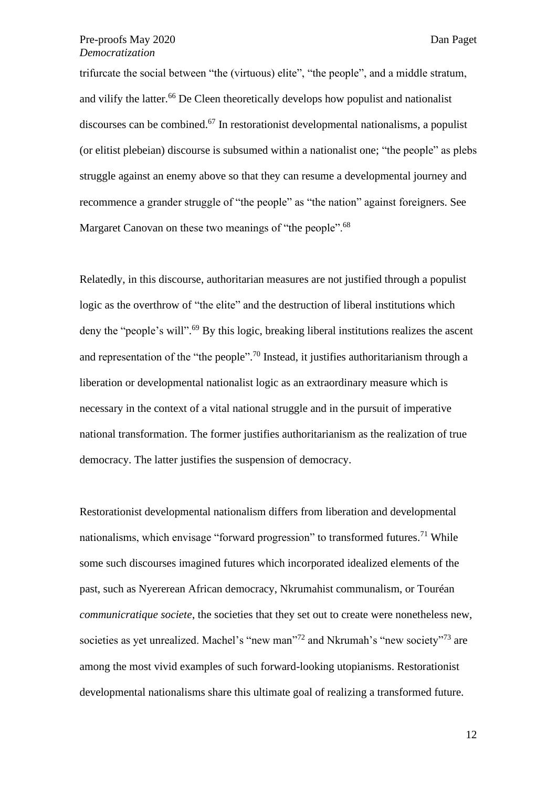trifurcate the social between "the (virtuous) elite", "the people", and a middle stratum, and vilify the latter.<sup>66</sup> De Cleen theoretically develops how populist and nationalist discourses can be combined.<sup>67</sup> In restorationist developmental nationalisms, a populist (or elitist plebeian) discourse is subsumed within a nationalist one; "the people" as plebs struggle against an enemy above so that they can resume a developmental journey and recommence a grander struggle of "the people" as "the nation" against foreigners. See Margaret Canovan on these two meanings of "the people".<sup>68</sup>

Relatedly, in this discourse, authoritarian measures are not justified through a populist logic as the overthrow of "the elite" and the destruction of liberal institutions which deny the "people's will".<sup>69</sup> By this logic, breaking liberal institutions realizes the ascent and representation of the "the people".<sup>70</sup> Instead, it justifies authoritarianism through a liberation or developmental nationalist logic as an extraordinary measure which is necessary in the context of a vital national struggle and in the pursuit of imperative national transformation. The former justifies authoritarianism as the realization of true democracy. The latter justifies the suspension of democracy.

Restorationist developmental nationalism differs from liberation and developmental nationalisms, which envisage "forward progression" to transformed futures.<sup>71</sup> While some such discourses imagined futures which incorporated idealized elements of the past, such as Nyererean African democracy, Nkrumahist communalism, or Touréan *communicratique societe*, the societies that they set out to create were nonetheless new, societies as yet unrealized. Machel's "new man"<sup>72</sup> and Nkrumah's "new society"<sup>73</sup> are among the most vivid examples of such forward-looking utopianisms. Restorationist developmental nationalisms share this ultimate goal of realizing a transformed future.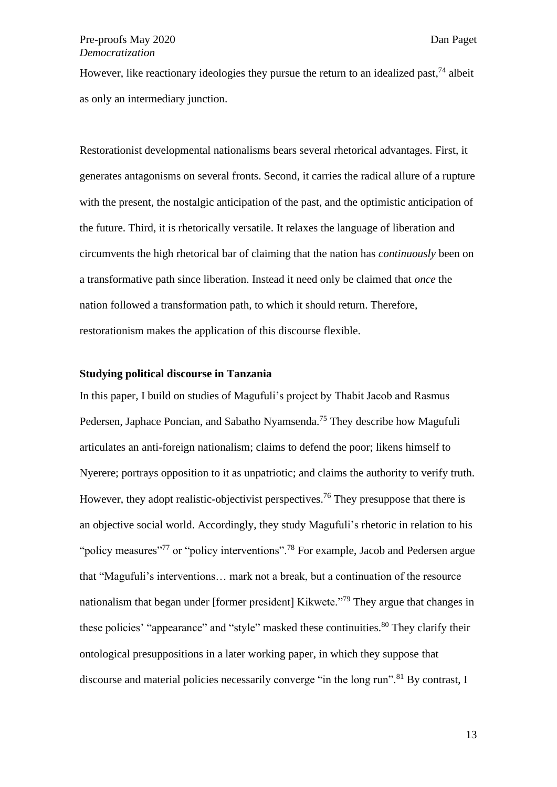However, like reactionary ideologies they pursue the return to an idealized past,<sup>74</sup> albeit as only an intermediary junction.

Restorationist developmental nationalisms bears several rhetorical advantages. First, it generates antagonisms on several fronts. Second, it carries the radical allure of a rupture with the present, the nostalgic anticipation of the past, and the optimistic anticipation of the future. Third, it is rhetorically versatile. It relaxes the language of liberation and circumvents the high rhetorical bar of claiming that the nation has *continuously* been on a transformative path since liberation. Instead it need only be claimed that *once* the nation followed a transformation path, to which it should return. Therefore, restorationism makes the application of this discourse flexible.

# **Studying political discourse in Tanzania**

In this paper, I build on studies of Magufuli's project by Thabit Jacob and Rasmus Pedersen, Japhace Poncian, and Sabatho Nyamsenda.<sup>75</sup> They describe how Magufuli articulates an anti-foreign nationalism; claims to defend the poor; likens himself to Nyerere; portrays opposition to it as unpatriotic; and claims the authority to verify truth. However, they adopt realistic-objectivist perspectives.<sup>76</sup> They presuppose that there is an objective social world. Accordingly, they study Magufuli's rhetoric in relation to his "policy measures"<sup>77</sup> or "policy interventions".<sup>78</sup> For example, Jacob and Pedersen argue that "Magufuli's interventions… mark not a break, but a continuation of the resource nationalism that began under [former president] Kikwete."<sup>79</sup> They argue that changes in these policies' "appearance" and "style" masked these continuities.<sup>80</sup> They clarify their ontological presuppositions in a later working paper, in which they suppose that discourse and material policies necessarily converge "in the long run".<sup>81</sup> By contrast, I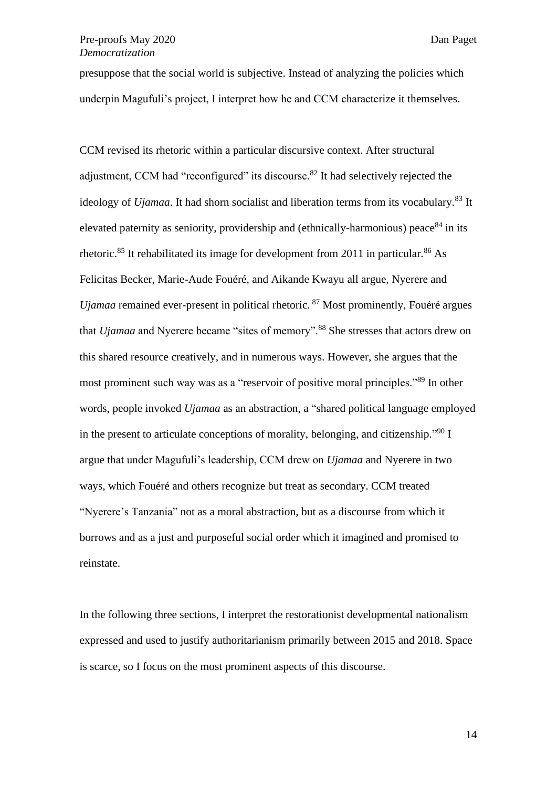presuppose that the social world is subjective. Instead of analyzing the policies which underpin Magufuli's project, I interpret how he and CCM characterize it themselves.

CCM revised its rhetoric within a particular discursive context. After structural adjustment, CCM had "reconfigured" its discourse.<sup>82</sup> It had selectively rejected the ideology of *Ujamaa*. It had shorn socialist and liberation terms from its vocabulary.<sup>83</sup> It elevated paternity as seniority, providership and (ethnically-harmonious) peace  $84$  in its rhetoric.<sup>85</sup> It rehabilitated its image for development from 2011 in particular.<sup>86</sup> As Felicitas Becker, Marie-Aude Fouéré, and Aikande Kwayu all argue, Nyerere and *Ujamaa* remained ever-present in political rhetoric. <sup>87</sup> Most prominently, Fouéré argues that *Ujamaa* and Nyerere became "sites of memory".<sup>88</sup> She stresses that actors drew on this shared resource creatively, and in numerous ways. However, she argues that the most prominent such way was as a "reservoir of positive moral principles."<sup>89</sup> In other words, people invoked *Ujamaa* as an abstraction, a "shared political language employed in the present to articulate conceptions of morality, belonging, and citizenship."<sup>90</sup> I argue that under Magufuli's leadership, CCM drew on *Ujamaa* and Nyerere in two ways, which Fouéré and others recognize but treat as secondary. CCM treated "Nyerere's Tanzania" not as a moral abstraction, but as a discourse from which it borrows and as a just and purposeful social order which it imagined and promised to reinstate.

In the following three sections, I interpret the restorationist developmental nationalism expressed and used to justify authoritarianism primarily between 2015 and 2018. Space is scarce, so I focus on the most prominent aspects of this discourse.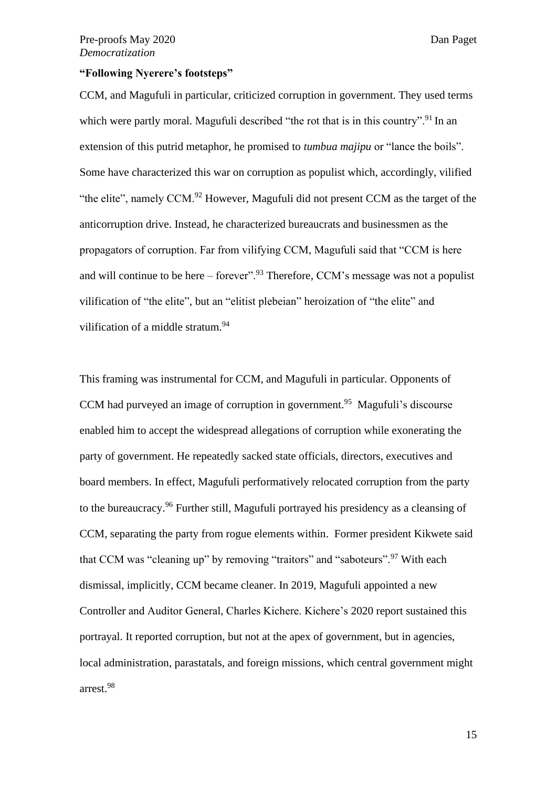#### **"Following Nyerere's footsteps"**

CCM, and Magufuli in particular, criticized corruption in government. They used terms which were partly moral. Magufuli described "the rot that is in this country".<sup>91</sup> In an extension of this putrid metaphor, he promised to *tumbua majipu* or "lance the boils". Some have characterized this war on corruption as populist which, accordingly, vilified "the elite", namely CCM.<sup>92</sup> However, Magufuli did not present CCM as the target of the anticorruption drive. Instead, he characterized bureaucrats and businessmen as the propagators of corruption. Far from vilifying CCM, Magufuli said that "CCM is here and will continue to be here – forever".<sup>93</sup> Therefore, CCM's message was not a populist vilification of "the elite", but an "elitist plebeian" heroization of "the elite" and vilification of a middle stratum.<sup>94</sup>

This framing was instrumental for CCM, and Magufuli in particular. Opponents of CCM had purveyed an image of corruption in government.<sup>95</sup> Magufuli's discourse enabled him to accept the widespread allegations of corruption while exonerating the party of government. He repeatedly sacked state officials, directors, executives and board members. In effect, Magufuli performatively relocated corruption from the party to the bureaucracy.<sup>96</sup> Further still, Magufuli portrayed his presidency as a cleansing of CCM, separating the party from rogue elements within. Former president Kikwete said that CCM was "cleaning up" by removing "traitors" and "saboteurs".<sup>97</sup> With each dismissal, implicitly, CCM became cleaner. In 2019, Magufuli appointed a new Controller and Auditor General, Charles Kichere. Kichere's 2020 report sustained this portrayal. It reported corruption, but not at the apex of government, but in agencies, local administration, parastatals, and foreign missions, which central government might arrest.<sup>98</sup>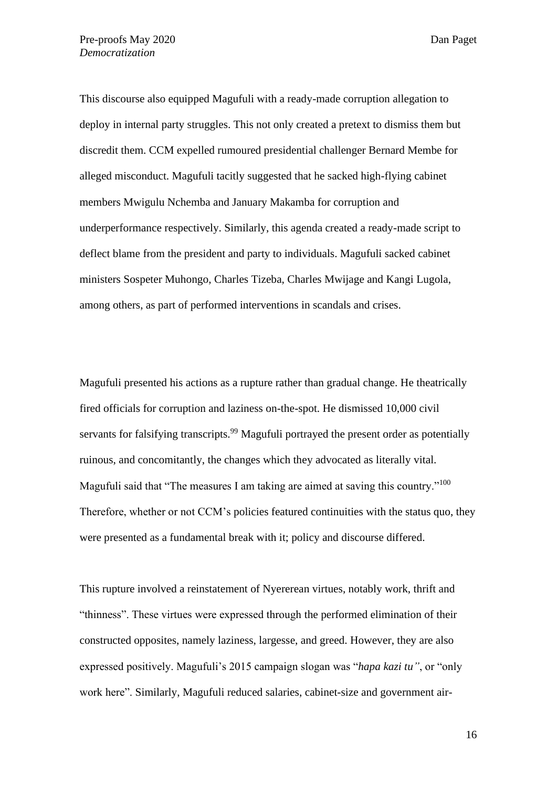This discourse also equipped Magufuli with a ready-made corruption allegation to deploy in internal party struggles. This not only created a pretext to dismiss them but discredit them. CCM expelled rumoured presidential challenger Bernard Membe for alleged misconduct. Magufuli tacitly suggested that he sacked high-flying cabinet members Mwigulu Nchemba and January Makamba for corruption and underperformance respectively. Similarly, this agenda created a ready-made script to deflect blame from the president and party to individuals. Magufuli sacked cabinet ministers Sospeter Muhongo, Charles Tizeba, Charles Mwijage and Kangi Lugola, among others, as part of performed interventions in scandals and crises.

Magufuli presented his actions as a rupture rather than gradual change. He theatrically fired officials for corruption and laziness on-the-spot. He dismissed 10,000 civil servants for falsifying transcripts.<sup>99</sup> Magufuli portrayed the present order as potentially ruinous, and concomitantly, the changes which they advocated as literally vital. Magufuli said that "The measures I am taking are aimed at saving this country."<sup>100</sup> Therefore, whether or not CCM's policies featured continuities with the status quo, they were presented as a fundamental break with it; policy and discourse differed.

This rupture involved a reinstatement of Nyererean virtues, notably work, thrift and "thinness". These virtues were expressed through the performed elimination of their constructed opposites, namely laziness, largesse, and greed. However, they are also expressed positively. Magufuli's 2015 campaign slogan was "*hapa kazi tu"*, or "only work here". Similarly, Magufuli reduced salaries, cabinet-size and government air-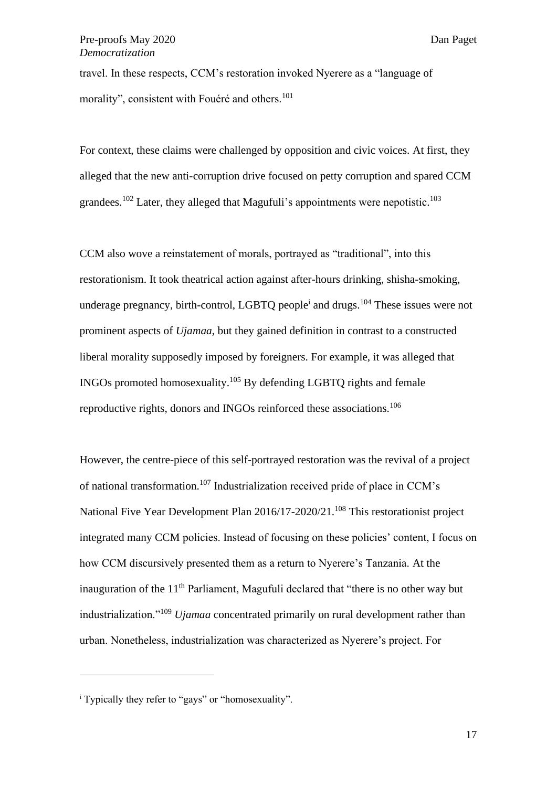travel. In these respects, CCM's restoration invoked Nyerere as a "language of morality", consistent with Fouéré and others.<sup>101</sup>

For context, these claims were challenged by opposition and civic voices. At first, they alleged that the new anti-corruption drive focused on petty corruption and spared CCM grandees.<sup>102</sup> Later, they alleged that Magufuli's appointments were nepotistic.<sup>103</sup>

CCM also wove a reinstatement of morals, portrayed as "traditional", into this restorationism. It took theatrical action against after-hours drinking, shisha-smoking, underage pregnancy, birth-control, LGBTQ people<sup>i</sup> and drugs.<sup>104</sup> These issues were not prominent aspects of *Ujamaa*, but they gained definition in contrast to a constructed liberal morality supposedly imposed by foreigners. For example, it was alleged that INGOs promoted homosexuality.<sup>105</sup> By defending LGBTQ rights and female reproductive rights, donors and INGOs reinforced these associations.<sup>106</sup>

However, the centre-piece of this self-portrayed restoration was the revival of a project of national transformation.<sup>107</sup> Industrialization received pride of place in CCM's National Five Year Development Plan 2016/17-2020/21.<sup>108</sup> This restorationist project integrated many CCM policies. Instead of focusing on these policies' content, I focus on how CCM discursively presented them as a return to Nyerere's Tanzania. At the inauguration of the 11<sup>th</sup> Parliament, Magufuli declared that "there is no other way but industrialization."<sup>109</sup> *Ujamaa* concentrated primarily on rural development rather than urban. Nonetheless, industrialization was characterized as Nyerere's project. For

<sup>&</sup>lt;sup>i</sup> Typically they refer to "gays" or "homosexuality".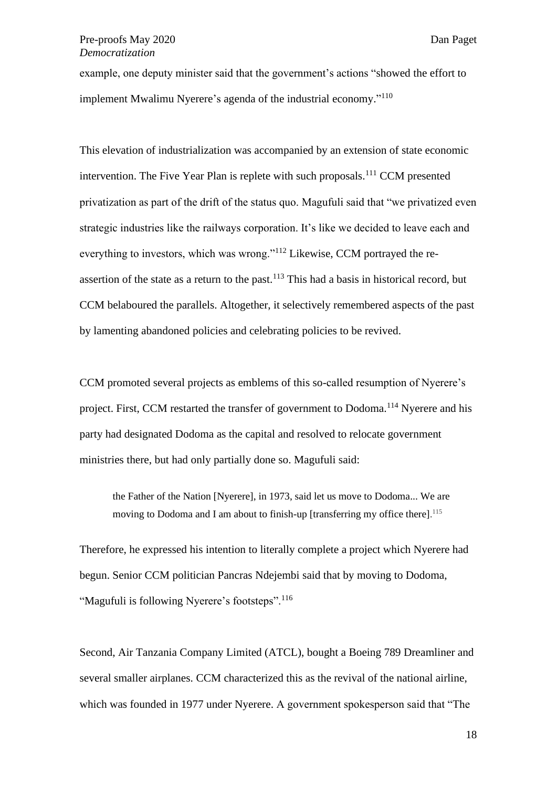example, one deputy minister said that the government's actions "showed the effort to implement Mwalimu Nyerere's agenda of the industrial economy."<sup>110</sup>

This elevation of industrialization was accompanied by an extension of state economic intervention. The Five Year Plan is replete with such proposals.<sup>111</sup> CCM presented privatization as part of the drift of the status quo. Magufuli said that "we privatized even strategic industries like the railways corporation. It's like we decided to leave each and everything to investors, which was wrong."<sup>112</sup> Likewise, CCM portrayed the reassertion of the state as a return to the past.<sup>113</sup> This had a basis in historical record, but CCM belaboured the parallels. Altogether, it selectively remembered aspects of the past by lamenting abandoned policies and celebrating policies to be revived.

CCM promoted several projects as emblems of this so-called resumption of Nyerere's project. First, CCM restarted the transfer of government to Dodoma.<sup>114</sup> Nyerere and his party had designated Dodoma as the capital and resolved to relocate government ministries there, but had only partially done so. Magufuli said:

the Father of the Nation [Nyerere], in 1973, said let us move to Dodoma... We are moving to Dodoma and I am about to finish-up [transferring my office there]. 115

Therefore, he expressed his intention to literally complete a project which Nyerere had begun. Senior CCM politician Pancras Ndejembi said that by moving to Dodoma, "Magufuli is following Nyerere's footsteps".<sup>116</sup>

Second, Air Tanzania Company Limited (ATCL), bought a Boeing 789 Dreamliner and several smaller airplanes. CCM characterized this as the revival of the national airline, which was founded in 1977 under Nyerere. A government spokesperson said that "The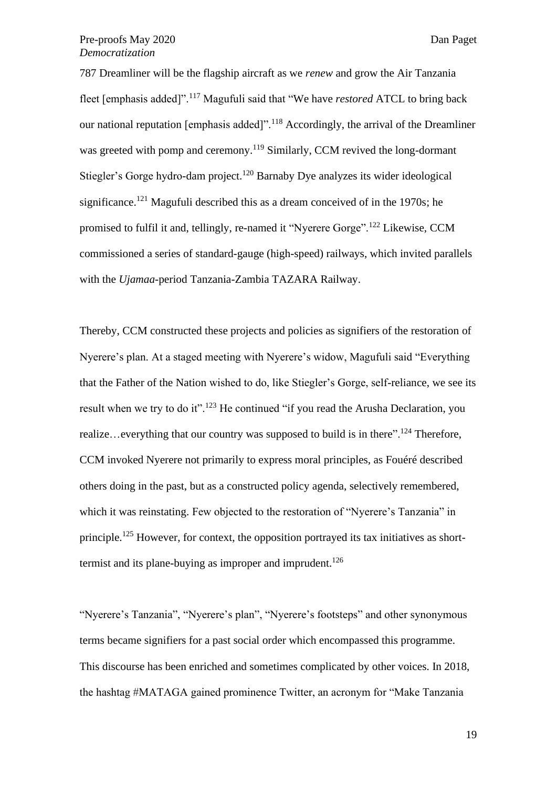787 Dreamliner will be the flagship aircraft as we *renew* and grow the Air Tanzania fleet [emphasis added]".<sup>117</sup> Magufuli said that "We have *restored* ATCL to bring back our national reputation [emphasis added]".<sup>118</sup> Accordingly, the arrival of the Dreamliner was greeted with pomp and ceremony.<sup>119</sup> Similarly, CCM revived the long-dormant Stiegler's Gorge hydro-dam project.<sup>120</sup> Barnaby Dye analyzes its wider ideological significance.<sup>121</sup> Magufuli described this as a dream conceived of in the 1970s; he promised to fulfil it and, tellingly, re-named it "Nyerere Gorge".<sup>122</sup> Likewise, CCM commissioned a series of standard-gauge (high-speed) railways, which invited parallels with the *Ujamaa*-period Tanzania-Zambia TAZARA Railway.

Thereby, CCM constructed these projects and policies as signifiers of the restoration of Nyerere's plan. At a staged meeting with Nyerere's widow, Magufuli said "Everything that the Father of the Nation wished to do, like Stiegler's Gorge, self-reliance, we see its result when we try to do it".<sup>123</sup> He continued "if you read the Arusha Declaration, you realize...everything that our country was supposed to build is in there".<sup>124</sup> Therefore, CCM invoked Nyerere not primarily to express moral principles, as Fouéré described others doing in the past, but as a constructed policy agenda, selectively remembered, which it was reinstating. Few objected to the restoration of "Nyerere's Tanzania" in principle.<sup>125</sup> However, for context, the opposition portrayed its tax initiatives as shorttermist and its plane-buying as improper and imprudent.<sup>126</sup>

"Nyerere's Tanzania", "Nyerere's plan", "Nyerere's footsteps" and other synonymous terms became signifiers for a past social order which encompassed this programme. This discourse has been enriched and sometimes complicated by other voices. In 2018, the hashtag #MATAGA gained prominence Twitter, an acronym for "Make Tanzania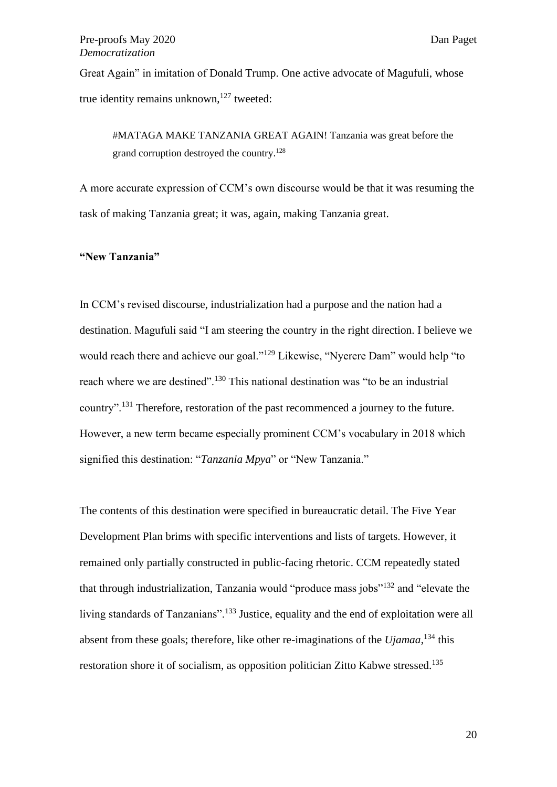Great Again" in imitation of Donald Trump. One active advocate of Magufuli, whose true identity remains unknown, $127$  tweeted:

#MATAGA MAKE TANZANIA GREAT AGAIN! Tanzania was great before the grand corruption destroyed the country.<sup>128</sup>

A more accurate expression of CCM's own discourse would be that it was resuming the task of making Tanzania great; it was, again, making Tanzania great.

## **"New Tanzania"**

In CCM's revised discourse, industrialization had a purpose and the nation had a destination. Magufuli said "I am steering the country in the right direction. I believe we would reach there and achieve our goal."<sup>129</sup> Likewise, "Nyerere Dam" would help "to reach where we are destined".<sup>130</sup> This national destination was "to be an industrial country".<sup>131</sup> Therefore, restoration of the past recommenced a journey to the future. However, a new term became especially prominent CCM's vocabulary in 2018 which signified this destination: "*Tanzania Mpya*" or "New Tanzania."

The contents of this destination were specified in bureaucratic detail. The Five Year Development Plan brims with specific interventions and lists of targets. However, it remained only partially constructed in public-facing rhetoric. CCM repeatedly stated that through industrialization, Tanzania would "produce mass jobs"<sup>132</sup> and "elevate the living standards of Tanzanians".<sup>133</sup> Justice, equality and the end of exploitation were all absent from these goals; therefore, like other re-imaginations of the *Ujamaa*, <sup>134</sup> this restoration shore it of socialism, as opposition politician Zitto Kabwe stressed.<sup>135</sup>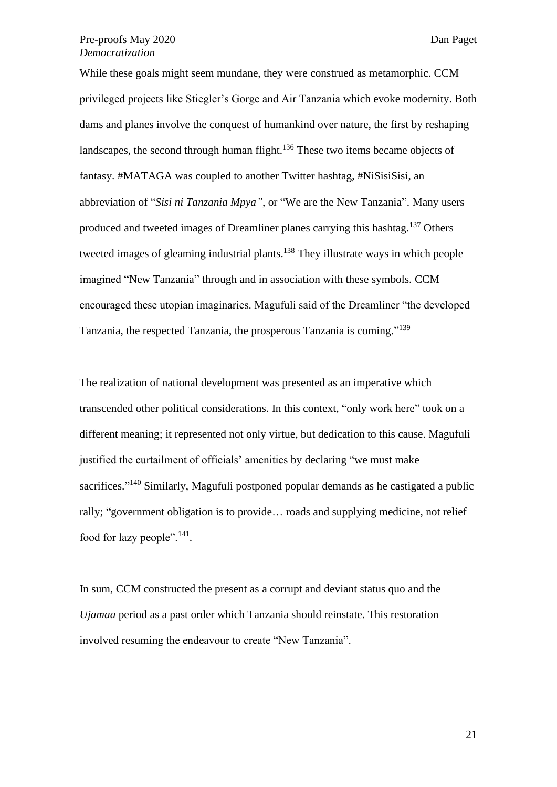While these goals might seem mundane, they were construed as metamorphic. CCM privileged projects like Stiegler's Gorge and Air Tanzania which evoke modernity. Both dams and planes involve the conquest of humankind over nature, the first by reshaping landscapes, the second through human flight.<sup>136</sup> These two items became objects of fantasy. #MATAGA was coupled to another Twitter hashtag, #NiSisiSisi, an abbreviation of "*Sisi ni Tanzania Mpya"*, or "We are the New Tanzania". Many users produced and tweeted images of Dreamliner planes carrying this hashtag.<sup>137</sup> Others tweeted images of gleaming industrial plants.<sup>138</sup> They illustrate ways in which people imagined "New Tanzania" through and in association with these symbols. CCM encouraged these utopian imaginaries. Magufuli said of the Dreamliner "the developed Tanzania, the respected Tanzania, the prosperous Tanzania is coming."<sup>139</sup>

The realization of national development was presented as an imperative which transcended other political considerations. In this context, "only work here" took on a different meaning; it represented not only virtue, but dedication to this cause. Magufuli justified the curtailment of officials' amenities by declaring "we must make sacrifices."<sup>140</sup> Similarly, Magufuli postponed popular demands as he castigated a public rally; "government obligation is to provide… roads and supplying medicine, not relief food for lazy people".<sup>141</sup>.

In sum, CCM constructed the present as a corrupt and deviant status quo and the *Ujamaa* period as a past order which Tanzania should reinstate. This restoration involved resuming the endeavour to create "New Tanzania".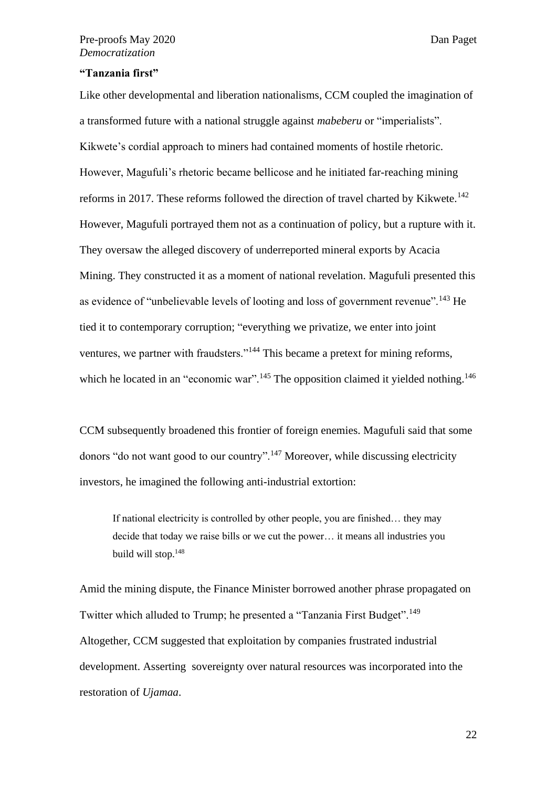# **"Tanzania first"**

Like other developmental and liberation nationalisms, CCM coupled the imagination of a transformed future with a national struggle against *mabeberu* or "imperialists". Kikwete's cordial approach to miners had contained moments of hostile rhetoric. However, Magufuli's rhetoric became bellicose and he initiated far-reaching mining reforms in 2017. These reforms followed the direction of travel charted by Kikwete.<sup>142</sup> However, Magufuli portrayed them not as a continuation of policy, but a rupture with it. They oversaw the alleged discovery of underreported mineral exports by Acacia Mining. They constructed it as a moment of national revelation. Magufuli presented this as evidence of "unbelievable levels of looting and loss of government revenue".<sup>143</sup> He tied it to contemporary corruption; "everything we privatize, we enter into joint ventures, we partner with fraudsters."<sup>144</sup> This became a pretext for mining reforms, which he located in an "economic war".<sup>145</sup> The opposition claimed it yielded nothing.<sup>146</sup>

CCM subsequently broadened this frontier of foreign enemies. Magufuli said that some donors "do not want good to our country".<sup>147</sup> Moreover, while discussing electricity investors, he imagined the following anti-industrial extortion:

If national electricity is controlled by other people, you are finished… they may decide that today we raise bills or we cut the power… it means all industries you build will stop.<sup>148</sup>

Amid the mining dispute, the Finance Minister borrowed another phrase propagated on Twitter which alluded to Trump; he presented a "Tanzania First Budget".<sup>149</sup> Altogether, CCM suggested that exploitation by companies frustrated industrial development. Asserting sovereignty over natural resources was incorporated into the restoration of *Ujamaa*.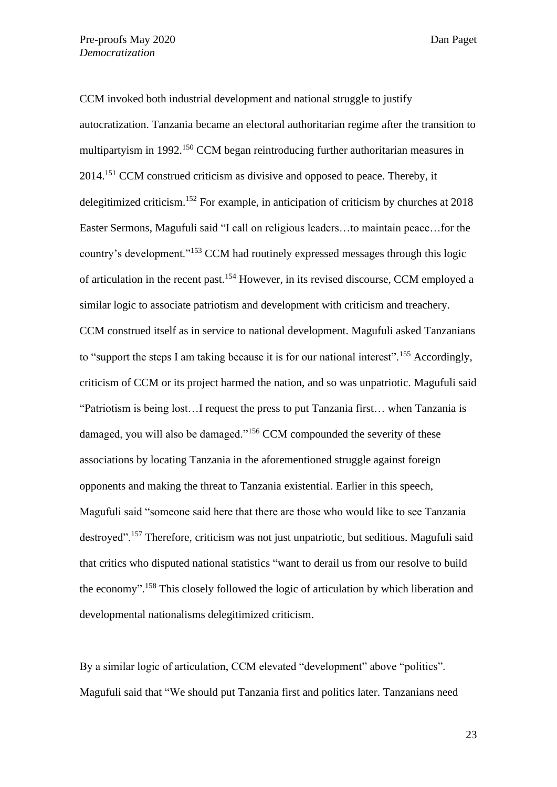CCM invoked both industrial development and national struggle to justify autocratization. Tanzania became an electoral authoritarian regime after the transition to multipartyism in 1992.<sup>150</sup> CCM began reintroducing further authoritarian measures in 2014.<sup>151</sup> CCM construed criticism as divisive and opposed to peace. Thereby, it delegitimized criticism. <sup>152</sup> For example, in anticipation of criticism by churches at 2018 Easter Sermons, Magufuli said "I call on religious leaders…to maintain peace…for the country's development."<sup>153</sup> CCM had routinely expressed messages through this logic of articulation in the recent past.<sup>154</sup> However, in its revised discourse, CCM employed a similar logic to associate patriotism and development with criticism and treachery. CCM construed itself as in service to national development. Magufuli asked Tanzanians to "support the steps I am taking because it is for our national interest".<sup>155</sup> Accordingly, criticism of CCM or its project harmed the nation, and so was unpatriotic. Magufuli said "Patriotism is being lost…I request the press to put Tanzania first… when Tanzania is damaged, you will also be damaged."<sup>156</sup> CCM compounded the severity of these associations by locating Tanzania in the aforementioned struggle against foreign opponents and making the threat to Tanzania existential. Earlier in this speech, Magufuli said "someone said here that there are those who would like to see Tanzania destroyed".<sup>157</sup> Therefore, criticism was not just unpatriotic, but seditious. Magufuli said that critics who disputed national statistics "want to derail us from our resolve to build the economy".<sup>158</sup> This closely followed the logic of articulation by which liberation and developmental nationalisms delegitimized criticism.

By a similar logic of articulation, CCM elevated "development" above "politics". Magufuli said that "We should put Tanzania first and politics later. Tanzanians need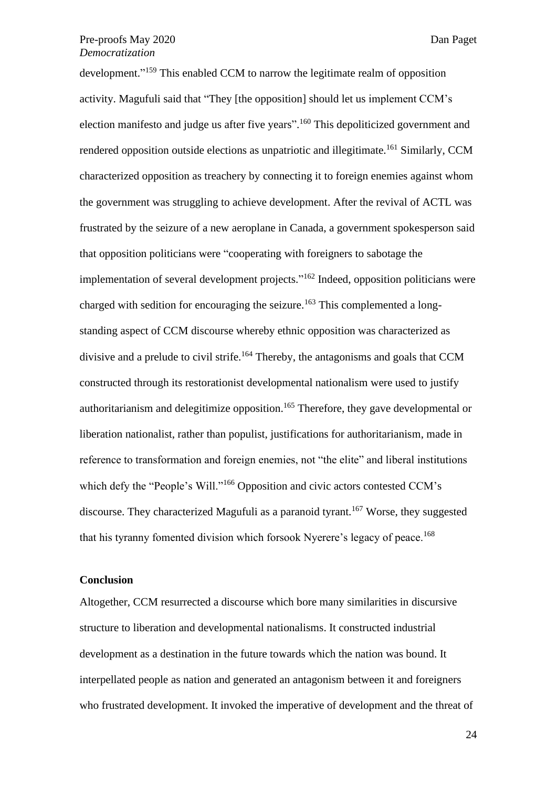development." <sup>159</sup> This enabled CCM to narrow the legitimate realm of opposition activity. Magufuli said that "They [the opposition] should let us implement CCM's election manifesto and judge us after five years".<sup>160</sup> This depoliticized government and rendered opposition outside elections as unpatriotic and illegitimate.<sup>161</sup> Similarly, CCM characterized opposition as treachery by connecting it to foreign enemies against whom the government was struggling to achieve development. After the revival of ACTL was frustrated by the seizure of a new aeroplane in Canada, a government spokesperson said that opposition politicians were "cooperating with foreigners to sabotage the implementation of several development projects."<sup>162</sup> Indeed, opposition politicians were charged with sedition for encouraging the seizure.<sup>163</sup> This complemented a longstanding aspect of CCM discourse whereby ethnic opposition was characterized as divisive and a prelude to civil strife.<sup>164</sup> Thereby, the antagonisms and goals that CCM constructed through its restorationist developmental nationalism were used to justify authoritarianism and delegitimize opposition.<sup>165</sup> Therefore, they gave developmental or liberation nationalist, rather than populist, justifications for authoritarianism, made in reference to transformation and foreign enemies, not "the elite" and liberal institutions which defy the "People's Will."<sup>166</sup> Opposition and civic actors contested CCM's discourse. They characterized Magufuli as a paranoid tyrant.<sup>167</sup> Worse, they suggested that his tyranny fomented division which forsook Nyerere's legacy of peace.<sup>168</sup>

# **Conclusion**

Altogether, CCM resurrected a discourse which bore many similarities in discursive structure to liberation and developmental nationalisms. It constructed industrial development as a destination in the future towards which the nation was bound. It interpellated people as nation and generated an antagonism between it and foreigners who frustrated development. It invoked the imperative of development and the threat of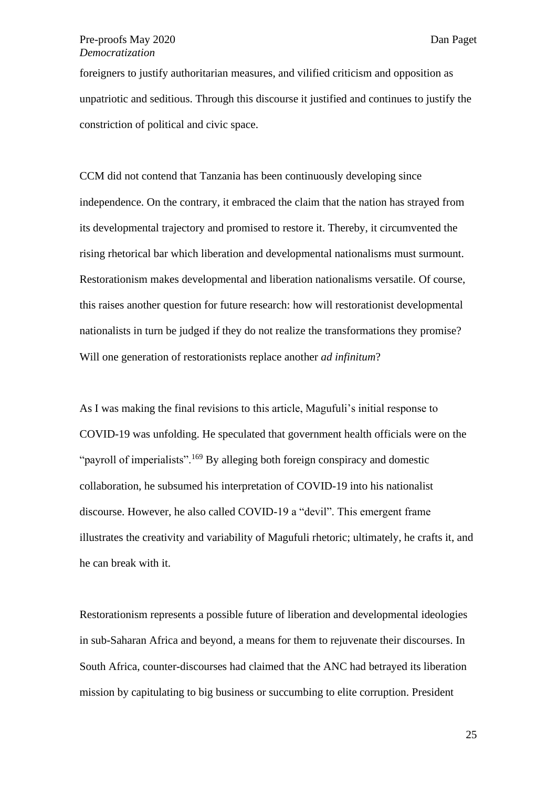foreigners to justify authoritarian measures, and vilified criticism and opposition as unpatriotic and seditious. Through this discourse it justified and continues to justify the constriction of political and civic space.

CCM did not contend that Tanzania has been continuously developing since independence. On the contrary, it embraced the claim that the nation has strayed from its developmental trajectory and promised to restore it. Thereby, it circumvented the rising rhetorical bar which liberation and developmental nationalisms must surmount. Restorationism makes developmental and liberation nationalisms versatile. Of course, this raises another question for future research: how will restorationist developmental nationalists in turn be judged if they do not realize the transformations they promise? Will one generation of restorationists replace another *ad infinitum*?

As I was making the final revisions to this article, Magufuli's initial response to COVID-19 was unfolding. He speculated that government health officials were on the "payroll of imperialists".<sup>169</sup> By alleging both foreign conspiracy and domestic collaboration, he subsumed his interpretation of COVID-19 into his nationalist discourse. However, he also called COVID-19 a "devil". This emergent frame illustrates the creativity and variability of Magufuli rhetoric; ultimately, he crafts it, and he can break with it.

Restorationism represents a possible future of liberation and developmental ideologies in sub-Saharan Africa and beyond, a means for them to rejuvenate their discourses. In South Africa, counter-discourses had claimed that the ANC had betrayed its liberation mission by capitulating to big business or succumbing to elite corruption. President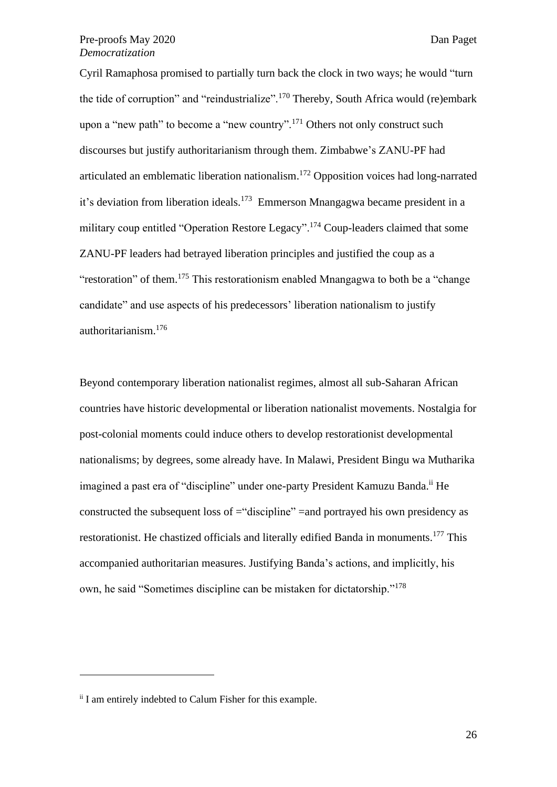Cyril Ramaphosa promised to partially turn back the clock in two ways; he would "turn the tide of corruption" and "reindustrialize".<sup>170</sup> Thereby, South Africa would (re)embark upon a "new path" to become a "new country".<sup>171</sup> Others not only construct such discourses but justify authoritarianism through them. Zimbabwe's ZANU-PF had articulated an emblematic liberation nationalism. <sup>172</sup> Opposition voices had long-narrated it's deviation from liberation ideals.<sup>173</sup> Emmerson Mnangagwa became president in a military coup entitled "Operation Restore Legacy".<sup>174</sup> Coup-leaders claimed that some ZANU-PF leaders had betrayed liberation principles and justified the coup as a "restoration" of them.<sup>175</sup> This restorationism enabled Mnangagwa to both be a "change" candidate" and use aspects of his predecessors' liberation nationalism to justify authoritarianism.<sup>176</sup>

Beyond contemporary liberation nationalist regimes, almost all sub-Saharan African countries have historic developmental or liberation nationalist movements. Nostalgia for post-colonial moments could induce others to develop restorationist developmental nationalisms; by degrees, some already have. In Malawi, President Bingu wa Mutharika imagined a past era of "discipline" under one-party President Kamuzu Banda.<sup>ii</sup> He constructed the subsequent loss of ="discipline" =and portrayed his own presidency as restorationist. He chastized officials and literally edified Banda in monuments.<sup>177</sup> This accompanied authoritarian measures. Justifying Banda's actions, and implicitly, his own, he said "Sometimes discipline can be mistaken for dictatorship."<sup>178</sup>

ii I am entirely indebted to Calum Fisher for this example.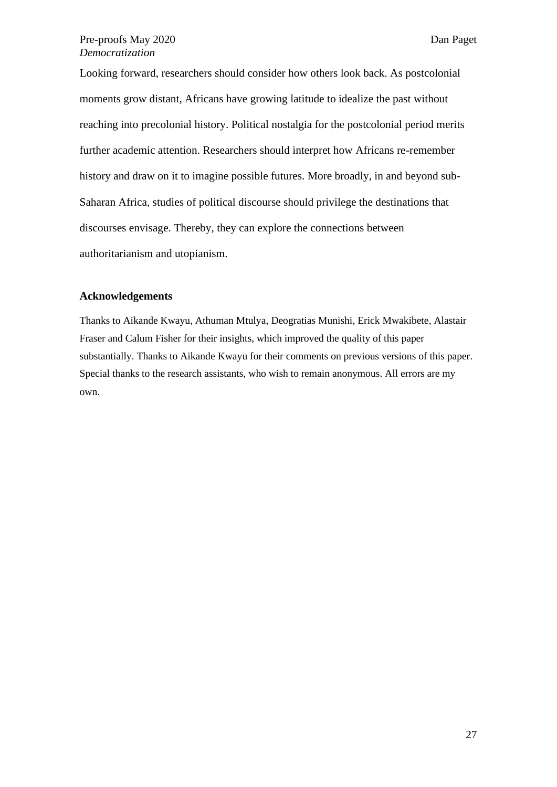Looking forward, researchers should consider how others look back. As postcolonial moments grow distant, Africans have growing latitude to idealize the past without reaching into precolonial history. Political nostalgia for the postcolonial period merits further academic attention. Researchers should interpret how Africans re-remember history and draw on it to imagine possible futures. More broadly, in and beyond sub-Saharan Africa, studies of political discourse should privilege the destinations that discourses envisage. Thereby, they can explore the connections between authoritarianism and utopianism.

#### **Acknowledgements**

Thanks to Aikande Kwayu, Athuman Mtulya, Deogratias Munishi, Erick Mwakibete, Alastair Fraser and Calum Fisher for their insights, which improved the quality of this paper substantially. Thanks to Aikande Kwayu for their comments on previous versions of this paper. Special thanks to the research assistants, who wish to remain anonymous. All errors are my own.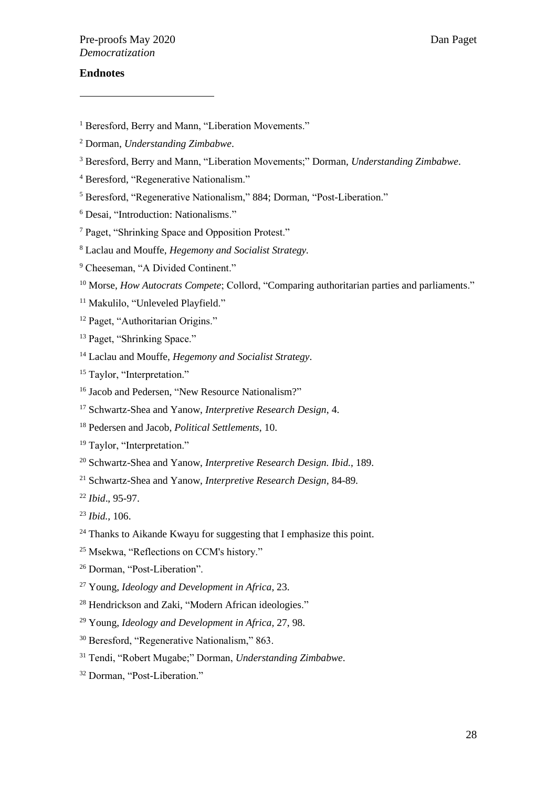# **Endnotes**

- <sup>1</sup> Beresford, Berry and Mann, "Liberation Movements."
- <sup>2</sup> Dorman, *Understanding Zimbabwe*.
- <sup>3</sup> Beresford, Berry and Mann, "Liberation Movements;" Dorman, *Understanding Zimbabwe*.
- <sup>4</sup> Beresford, "Regenerative Nationalism."
- <sup>5</sup> Beresford, "Regenerative Nationalism," 884; Dorman, "Post-Liberation."
- <sup>6</sup> Desai, "Introduction: Nationalisms."
- <sup>7</sup> Paget, "Shrinking Space and Opposition Protest."
- <sup>8</sup> Laclau and Mouffe, *Hegemony and Socialist Strategy.*
- <sup>9</sup> Cheeseman, "A Divided Continent."
- <sup>10</sup> Morse, *How Autocrats Compete*; Collord, "Comparing authoritarian parties and parliaments."
- <sup>11</sup> Makulilo, "Unleveled Playfield."
- <sup>12</sup> Paget, "Authoritarian Origins."
- <sup>13</sup> Paget, "Shrinking Space."
- <sup>14</sup> Laclau and Mouffe, *Hegemony and Socialist Strategy*.
- <sup>15</sup> Taylor, "Interpretation."
- <sup>16</sup> Jacob and Pedersen, "New Resource Nationalism?"
- <sup>17</sup> Schwartz-Shea and Yanow, *Interpretive Research Design*, 4.
- <sup>18</sup> Pedersen and Jacob, *Political Settlements*, 10.
- <sup>19</sup> Taylor, "Interpretation."
- <sup>20</sup> Schwartz-Shea and Yanow, *Interpretive Research Design. Ibid.*, 189.
- <sup>21</sup> Schwartz-Shea and Yanow, *Interpretive Research Design,* 84-89*.*
- <sup>22</sup> *Ibid*., 95-97.
- <sup>23</sup> *Ibid.,* 106.
- <sup>24</sup> Thanks to Aikande Kwayu for suggesting that I emphasize this point.
- <sup>25</sup> Msekwa, "Reflections on CCM's history."
- <sup>26</sup> Dorman, "Post-Liberation".
- <sup>27</sup> Young, *Ideology and Development in Africa*, 23.
- <sup>28</sup> Hendrickson and Zaki, "Modern African ideologies."
- <sup>29</sup> Young, *Ideology and Development in Africa,* 27, 98.
- <sup>30</sup> Beresford, "Regenerative Nationalism," 863.
- <sup>31</sup> Tendi, "Robert Mugabe;" Dorman, *Understanding Zimbabwe*.
- <sup>32</sup> Dorman, "Post-Liberation."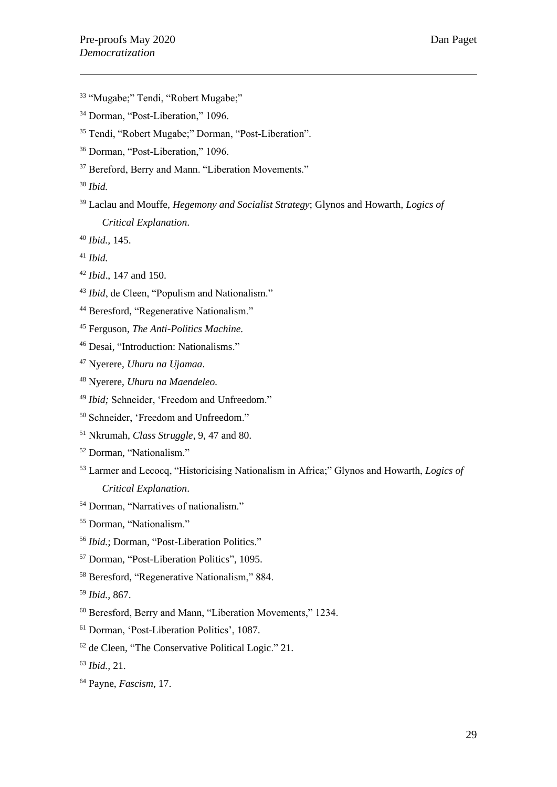- "Mugabe;" Tendi, "Robert Mugabe;"
- <sup>34</sup> Dorman, "Post-Liberation," 1096.
- Tendi, "Robert Mugabe;" Dorman, "Post-Liberation".
- Dorman, "Post-Liberation," 1096.
- <sup>37</sup> Bereford, Berry and Mann. "Liberation Movements."
- *Ibid.*
- Laclau and Mouffe, *Hegemony and Socialist Strategy*; Glynos and Howarth, *Logics of Critical Explanation*.
- *Ibid.,* 145.
- *Ibid.*
- *Ibid*., 147 and 150.
- <sup>43</sup> *Ibid*, de Cleen, "Populism and Nationalism."
- <sup>44</sup> Beresford, "Regenerative Nationalism."
- Ferguson, *The Anti-Politics Machine.*
- Desai, "Introduction: Nationalisms."
- Nyerere, *Uhuru na Ujamaa*.
- Nyerere, *Uhuru na Maendeleo.*
- <sup>49</sup> *Ibid*; Schneider, 'Freedom and Unfreedom."
- Schneider, 'Freedom and Unfreedom."
- Nkrumah, *Class Struggle*, 9, 47 and 80.
- Dorman, "Nationalism."
- Larmer and Lecocq, "Historicising Nationalism in Africa;" Glynos and Howarth, *Logics of Critical Explanation*.
- Dorman, "Narratives of nationalism."
- Dorman, "Nationalism."
- *Ibid.*; Dorman, "Post-Liberation Politics."
- Dorman, "Post-Liberation Politics", 1095.
- Beresford, "Regenerative Nationalism," 884.
- *Ibid.,* 867.
- Beresford, Berry and Mann, "Liberation Movements," 1234.
- Dorman, 'Post-Liberation Politics', 1087.
- de Cleen, "The Conservative Political Logic." 21.
- *Ibid.,* 21.
- Payne, *Fascism*, 17.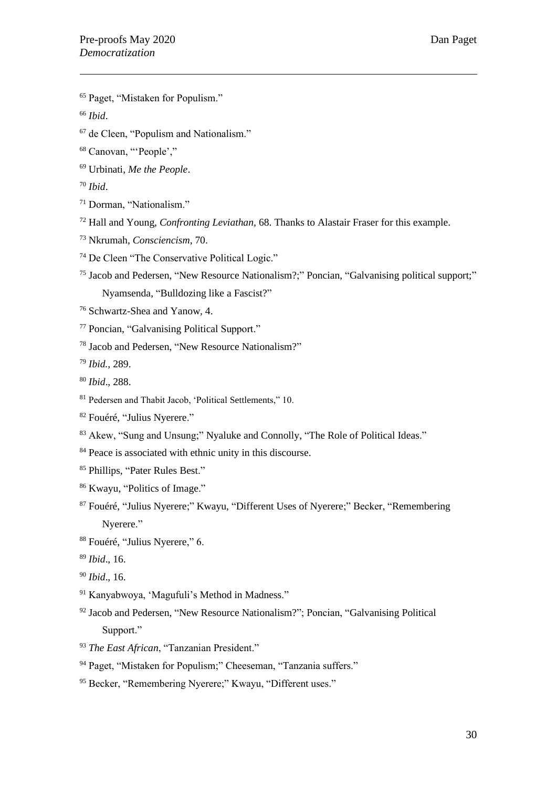- Paget, "Mistaken for Populism."
- *Ibid*.
- de Cleen, "Populism and Nationalism."
- Canovan, "'People',"
- Urbinati, *Me the People*.
- *Ibid*.
- Dorman, "Nationalism."
- Hall and Young, *Confronting Leviathan*, 68. Thanks to Alastair Fraser for this example.
- Nkrumah, *Consciencism*, 70.
- De Cleen "The Conservative Political Logic."
- Jacob and Pedersen, "New Resource Nationalism?;" Poncian, "Galvanising political support;" Nyamsenda, "Bulldozing like a Fascist?"
- Schwartz-Shea and Yanow, 4.
- Poncian, "Galvanising Political Support."
- Jacob and Pedersen, "New Resource Nationalism?"
- *Ibid.,* 289.
- *Ibid*., 288.
- Pedersen and Thabit Jacob, 'Political Settlements," 10.
- Fouéré, "Julius Nyerere."
- Akew, "Sung and Unsung;" Nyaluke and Connolly, "The Role of Political Ideas."
- <sup>84</sup> Peace is associated with ethnic unity in this discourse.
- Phillips, "Pater Rules Best."
- Kwayu, "Politics of Image."
- Fouéré, "Julius Nyerere;" Kwayu, "Different Uses of Nyerere;" Becker, "Remembering Nyerere."
- Fouéré, "Julius Nyerere," 6.
- *Ibid*., 16.
- *Ibid*., 16.
- Kanyabwoya, 'Magufuli's Method in Madness."
- Jacob and Pedersen, "New Resource Nationalism?"; Poncian, "Galvanising Political Support."
- *The East African*, "Tanzanian President."
- <sup>94</sup> Paget, "Mistaken for Populism;" Cheeseman, "Tanzania suffers."
- Becker, "Remembering Nyerere;" Kwayu, "Different uses."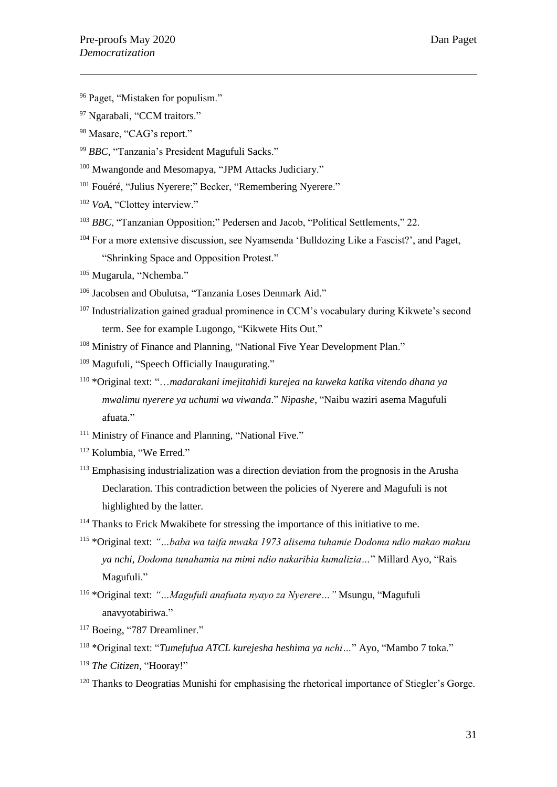- <sup>96</sup> Paget, "Mistaken for populism."
- <sup>97</sup> Ngarabali, "CCM traitors."
- <sup>98</sup> Masare, "CAG's report."
- <sup>99</sup> *BBC*, "Tanzania's President Magufuli Sacks."
- <sup>100</sup> Mwangonde and Mesomapya, "JPM Attacks Judiciary."
- <sup>101</sup> Fouéré, "Julius Nyerere;" Becker, "Remembering Nyerere."
- <sup>102</sup> *VoA*, "Clottey interview."
- <sup>103</sup> *BBC*, "Tanzanian Opposition;" Pedersen and Jacob, "Political Settlements," 22.
- <sup>104</sup> For a more extensive discussion, see Nyamsenda 'Bulldozing Like a Fascist?', and Paget, "Shrinking Space and Opposition Protest."
- <sup>105</sup> Mugarula, "Nchemba."
- <sup>106</sup> Jacobsen and Obulutsa, "Tanzania Loses Denmark Aid."
- <sup>107</sup> Industrialization gained gradual prominence in CCM's vocabulary during Kikwete's second term. See for example Lugongo, "Kikwete Hits Out."
- <sup>108</sup> Ministry of Finance and Planning, "National Five Year Development Plan."
- <sup>109</sup> Magufuli, "Speech Officially Inaugurating."
- <sup>110</sup> \*Original text: "…*madarakani imejitahidi kurejea na kuweka katika vitendo dhana ya mwalimu nyerere ya uchumi wa viwanda*." *Nipashe*, "Naibu waziri asema Magufuli afuata."
- <sup>111</sup> Ministry of Finance and Planning, "National Five."
- <sup>112</sup> Kolumbia, "We Erred."
- <sup>113</sup> Emphasising industrialization was a direction deviation from the prognosis in the Arusha Declaration. This contradiction between the policies of Nyerere and Magufuli is not highlighted by the latter.
- <sup>114</sup> Thanks to Erick Mwakibete for stressing the importance of this initiative to me.
- <sup>115</sup> \*Original text: *"…baba wa taifa mwaka 1973 alisema tuhamie Dodoma ndio makao makuu ya nchi, Dodoma tunahamia na mimi ndio nakaribia kumalizia…*" Millard Ayo, "Rais Magufuli."
- <sup>116</sup> \*Original text: *"…Magufuli anafuata nyayo za Nyerere…"* Msungu, "Magufuli anavyotabiriwa."
- <sup>117</sup> Boeing, "787 Dreamliner."
- <sup>118</sup> \*Original text: "*Tumefufua ATCL kurejesha heshima ya nchi…*" Ayo, "Mambo 7 toka."
- <sup>119</sup> *The Citizen*, "Hooray!"
- <sup>120</sup> Thanks to Deogratias Munishi for emphasising the rhetorical importance of Stiegler's Gorge.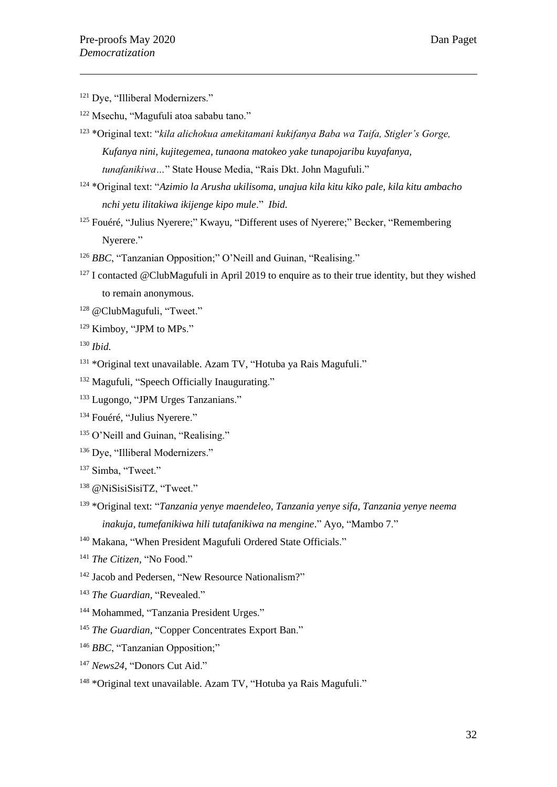- <sup>121</sup> Dye, "Illiberal Modernizers."
- <sup>122</sup> Msechu, "Magufuli atoa sababu tano."
- <sup>123</sup> \*Original text: "*kila alichokua amekitamani kukifanya Baba wa Taifa, Stigler's Gorge, Kufanya nini, kujitegemea, tunaona matokeo yake tunapojaribu kuyafanya, tunafanikiwa…*" State House Media, "Rais Dkt. John Magufuli."
- <sup>124</sup> \*Original text: "*Azimio la Arusha ukilisoma, unajua kila kitu kiko pale, kila kitu ambacho nchi yetu ilitakiwa ikijenge kipo mule*." *Ibid.*
- $125$  Fouéré, "Julius Nyerere;" Kwayu, "Different uses of Nyerere;" Becker, "Remembering Nyerere."
- <sup>126</sup> BBC, "Tanzanian Opposition;" O'Neill and Guinan, "Realising."
- $127$  I contacted @ClubMagufuli in April 2019 to enquire as to their true identity, but they wished to remain anonymous.
- <sup>128</sup> @ClubMagufuli, "Tweet."
- <sup>129</sup> Kimboy, "JPM to MPs."
- <sup>130</sup> *Ibid.*
- <sup>131</sup> \*Original text unavailable. Azam TV, "Hotuba ya Rais Magufuli."
- <sup>132</sup> Magufuli, "Speech Officially Inaugurating."
- <sup>133</sup> Lugongo, "JPM Urges Tanzanians."
- <sup>134</sup> Fouéré, "Julius Nyerere."
- <sup>135</sup> O'Neill and Guinan, "Realising."
- <sup>136</sup> Dye, "Illiberal Modernizers."
- <sup>137</sup> Simba, "Tweet."
- <sup>138</sup> @NiSisiSisiTZ, "Tweet."
- <sup>139</sup> \*Original text: "*Tanzania yenye maendeleo, Tanzania yenye sifa, Tanzania yenye neema inakuja, tumefanikiwa hili tutafanikiwa na mengine*." Ayo, "Mambo 7."
- <sup>140</sup> Makana, "When President Magufuli Ordered State Officials."
- <sup>141</sup> *The Citizen*, "No Food."
- <sup>142</sup> Jacob and Pedersen, "New Resource Nationalism?"
- <sup>143</sup> The Guardian, "Revealed."
- <sup>144</sup> Mohammed, "Tanzania President Urges."
- <sup>145</sup> *The Guardian*, "Copper Concentrates Export Ban."
- <sup>146</sup> *BBC*, "Tanzanian Opposition;"
- <sup>147</sup> *News24*, "Donors Cut Aid."
- <sup>148</sup> \*Original text unavailable. Azam TV, "Hotuba ya Rais Magufuli."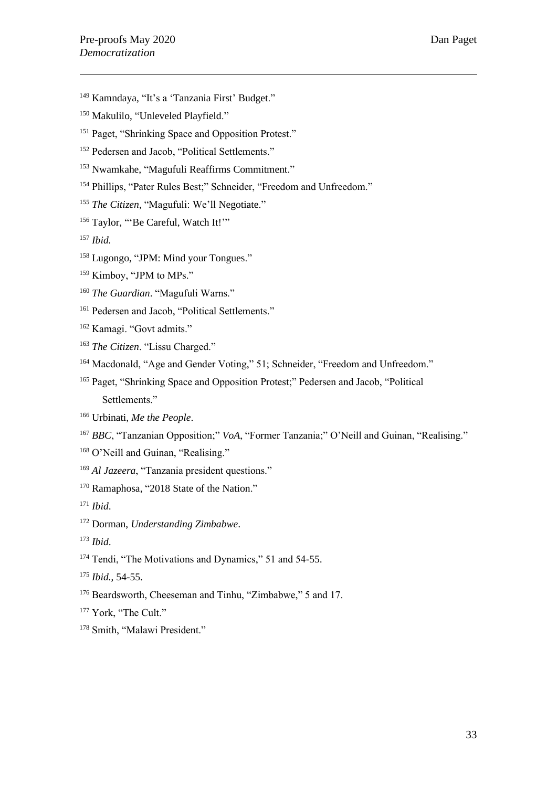- <sup>149</sup> Kamndaya, "It's a 'Tanzania First' Budget."
- <sup>150</sup> Makulilo, "Unleveled Playfield."
- <sup>151</sup> Paget, "Shrinking Space and Opposition Protest."
- <sup>152</sup> Pedersen and Jacob, "Political Settlements."
- <sup>153</sup> Nwamkahe, "Magufuli Reaffirms Commitment."
- <sup>154</sup> Phillips, "Pater Rules Best;" Schneider, "Freedom and Unfreedom."
- <sup>155</sup> *The Citizen*, "Magufuli: We'll Negotiate."
- <sup>156</sup> Taylor, "'Be Careful, Watch It!""
- <sup>157</sup> *Ibid.*
- <sup>158</sup> Lugongo, "JPM: Mind your Tongues."
- <sup>159</sup> Kimboy, "JPM to MPs."
- <sup>160</sup> *The Guardian*. "Magufuli Warns."
- <sup>161</sup> Pedersen and Jacob, "Political Settlements."
- <sup>162</sup> Kamagi. "Govt admits."
- <sup>163</sup> *The Citizen*. "Lissu Charged."
- <sup>164</sup> Macdonald, "Age and Gender Voting," 51; Schneider, "Freedom and Unfreedom."
- <sup>165</sup> Paget, "Shrinking Space and Opposition Protest;" Pedersen and Jacob, "Political Settlements."
- <sup>166</sup> Urbinati, *Me the People*.
- <sup>167</sup> *BBC*, "Tanzanian Opposition;" *VoA*, "Former Tanzania;" O'Neill and Guinan, "Realising."
- <sup>168</sup> O'Neill and Guinan, "Realising."
- <sup>169</sup> *Al Jazeera*, "Tanzania president questions."
- <sup>170</sup> Ramaphosa, "2018 State of the Nation."
- <sup>171</sup> *Ibid*.
- <sup>172</sup> Dorman, *Understanding Zimbabwe*.
- <sup>173</sup> *Ibid*.
- <sup>174</sup> Tendi, "The Motivations and Dynamics," 51 and 54-55.
- <sup>175</sup> *Ibid.*, 54-55.
- <sup>176</sup> Beardsworth, Cheeseman and Tinhu, "Zimbabwe," 5 and 17.
- <sup>177</sup> York, "The Cult."
- <sup>178</sup> Smith, "Malawi President."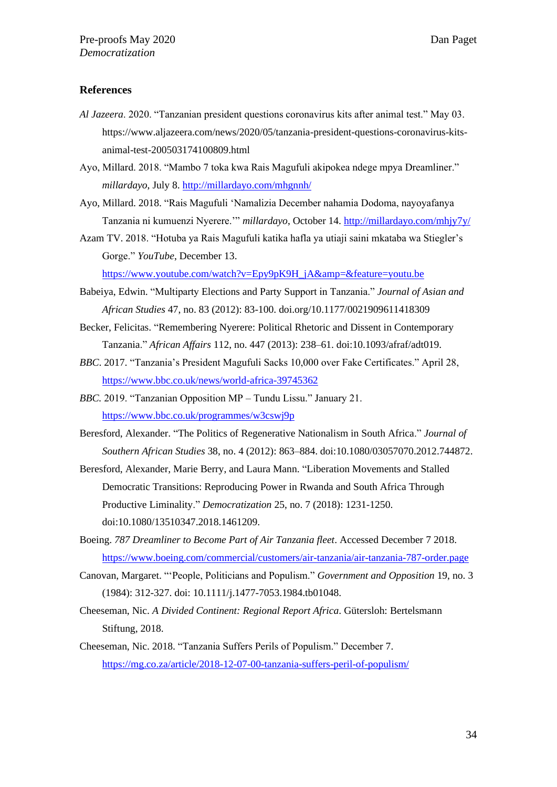#### **References**

- *Al Jazeera*. 2020. "Tanzanian president questions coronavirus kits after animal test." May 03. https://www.aljazeera.com/news/2020/05/tanzania-president-questions-coronavirus-kitsanimal-test-200503174100809.html
- Ayo, Millard. 2018. "Mambo 7 toka kwa Rais Magufuli akipokea ndege mpya Dreamliner." *millardayo*, July 8.<http://millardayo.com/mhgnnh/>
- Ayo, Millard. 2018. "Rais Magufuli 'Namalizia December nahamia Dodoma, nayoyafanya Tanzania ni kumuenzi Nyerere.'" *millardayo*, October 14.<http://millardayo.com/mhjy7y/>
- Azam TV. 2018. "Hotuba ya Rais Magufuli katika hafla ya utiaji saini mkataba wa Stiegler's Gorge." *YouTube*, December 13.

[https://www.youtube.com/watch?v=Epy9pK9H\\_jA&amp=&feature=youtu.be](https://www.youtube.com/watch?v=Epy9pK9H_jA&=&feature=youtu.be)

- Babeiya, Edwin. "Multiparty Elections and Party Support in Tanzania." *Journal of Asian and African Studies* 47, no. 83 (2012): 83-100. doi.org/10.1177/0021909611418309
- Becker, Felicitas. "Remembering Nyerere: Political Rhetoric and Dissent in Contemporary Tanzania." *African Affairs* 112, no. 447 (2013): 238–61. doi:10.1093/afraf/adt019.
- *BBC*. 2017. "Tanzania's President Magufuli Sacks 10,000 over Fake Certificates." April 28, <https://www.bbc.co.uk/news/world-africa-39745362>
- *BBC.* 2019. "Tanzanian Opposition MP Tundu Lissu." January 21. <https://www.bbc.co.uk/programmes/w3cswj9p>
- Beresford, Alexander. "The Politics of Regenerative Nationalism in South Africa." *Journal of Southern African Studies* 38, no. 4 (2012): 863–884. doi:10.1080/03057070.2012.744872.
- Beresford, Alexander, Marie Berry, and Laura Mann. "Liberation Movements and Stalled Democratic Transitions: Reproducing Power in Rwanda and South Africa Through Productive Liminality." *Democratization* 25, no. 7 (2018): 1231-1250. doi:10.1080/13510347.2018.1461209.
- Boeing. *787 Dreamliner to Become Part of Air Tanzania fleet*. Accessed December 7 2018. <https://www.boeing.com/commercial/customers/air-tanzania/air-tanzania-787-order.page>
- Canovan, Margaret. "'People, Politicians and Populism." *Government and Opposition* 19, no. 3 (1984): 312-327. doi: 10.1111/j.1477-7053.1984.tb01048.
- Cheeseman, Nic. *A Divided Continent: Regional Report Africa*. Gütersloh: Bertelsmann Stiftung, 2018.
- Cheeseman, Nic. 2018. "Tanzania Suffers Perils of Populism." December 7. <https://mg.co.za/article/2018-12-07-00-tanzania-suffers-peril-of-populism/>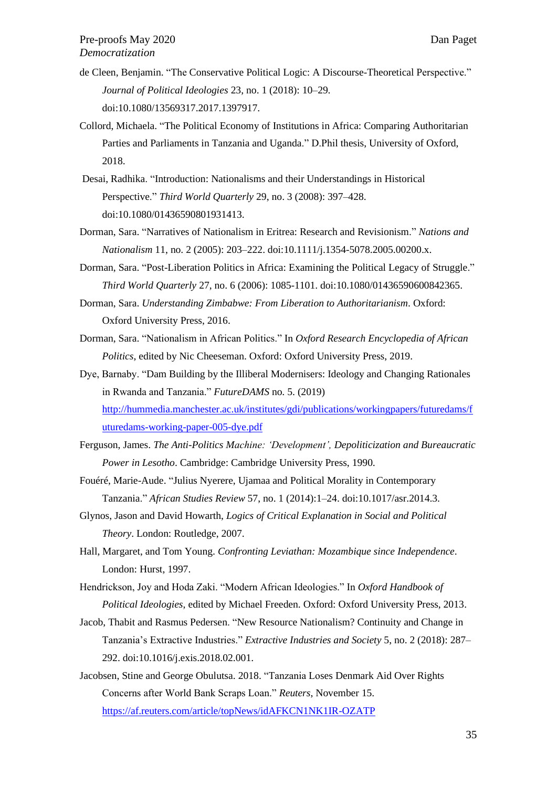- de Cleen, Benjamin. "The Conservative Political Logic: A Discourse-Theoretical Perspective." *Journal of Political Ideologies* 23, no. 1 (2018): 10–29. doi:10.1080/13569317.2017.1397917.
- Collord, Michaela. "The Political Economy of Institutions in Africa: Comparing Authoritarian Parties and Parliaments in Tanzania and Uganda." D.Phil thesis, University of Oxford, 2018.
- Desai, Radhika. "Introduction: Nationalisms and their Understandings in Historical Perspective." *Third World Quarterly* 29, no. 3 (2008): 397–428. doi:10.1080/01436590801931413.
- Dorman, Sara. "Narratives of Nationalism in Eritrea: Research and Revisionism." *Nations and Nationalism* 11, no. 2 (2005): 203–222. doi:10.1111/j.1354-5078.2005.00200.x.
- Dorman, Sara. "Post-Liberation Politics in Africa: Examining the Political Legacy of Struggle." *Third World Quarterly* 27, no. 6 (2006): 1085-1101. doi:10.1080/01436590600842365.
- Dorman, Sara. *Understanding Zimbabwe: From Liberation to Authoritarianism*. Oxford: Oxford University Press, 2016.
- Dorman, Sara. "Nationalism in African Politics." In *Oxford Research Encyclopedia of African Politics*, edited by Nic Cheeseman. Oxford: Oxford University Press, 2019.
- Dye, Barnaby. "Dam Building by the Illiberal Modernisers: Ideology and Changing Rationales in Rwanda and Tanzania." *FutureDAMS* no. 5. (2019) [http://hummedia.manchester.ac.uk/institutes/gdi/publications/workingpapers/futuredams/f](http://hummedia.manchester.ac.uk/institutes/gdi/publications/workingpapers/futuredams/futuredams-working-paper-005-dye.pdf) [uturedams-working-paper-005-dye.pdf](http://hummedia.manchester.ac.uk/institutes/gdi/publications/workingpapers/futuredams/futuredams-working-paper-005-dye.pdf)
- Ferguson, James. *The Anti-Politics Machine: 'Development', Depoliticization and Bureaucratic Power in Lesotho*. Cambridge: Cambridge University Press, 1990*.*
- Fouéré, Marie-Aude. "Julius Nyerere, Ujamaa and Political Morality in Contemporary Tanzania." *African Studies Review* 57, no. 1 (2014):1–24. doi:10.1017/asr.2014.3.
- Glynos, Jason and David Howarth, *Logics of Critical Explanation in Social and Political Theory*. London: Routledge, 2007.
- Hall, Margaret, and Tom Young. *Confronting Leviathan: Mozambique since Independence*. London: Hurst, 1997.

Hendrickson, Joy and Hoda Zaki. "Modern African Ideologies." In *Oxford Handbook of Political Ideologies*, edited by Michael Freeden. Oxford: Oxford University Press, 2013.

Jacob, Thabit and Rasmus Pedersen. "New Resource Nationalism? Continuity and Change in Tanzania's Extractive Industries." *Extractive Industries and Society* 5, no. 2 (2018): 287– 292. doi:10.1016/j.exis.2018.02.001.

Jacobsen, Stine and George Obulutsa. 2018. "Tanzania Loses Denmark Aid Over Rights Concerns after World Bank Scraps Loan." *Reuters*, November 15. <https://af.reuters.com/article/topNews/idAFKCN1NK1IR-OZATP>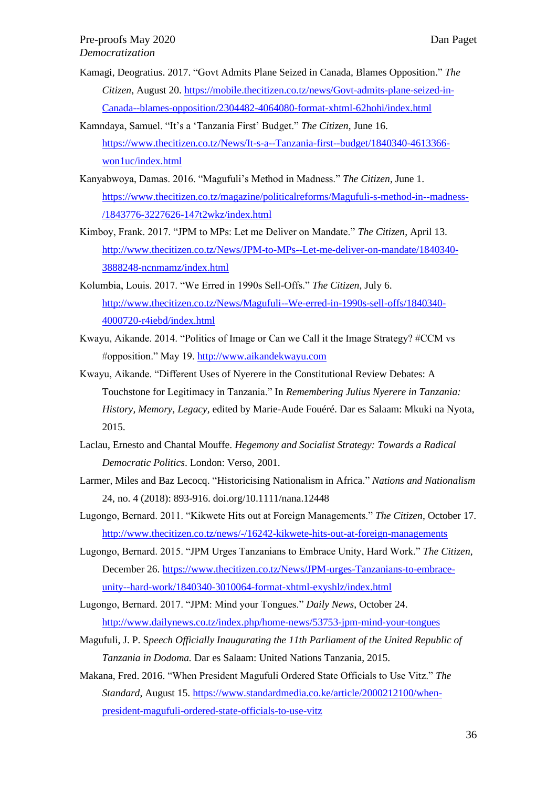- Kamagi, Deogratius. 2017. "Govt Admits Plane Seized in Canada, Blames Opposition." *The Citizen*, August 20. [https://mobile.thecitizen.co.tz/news/Govt-admits-plane-seized-in-](https://mobile.thecitizen.co.tz/news/Govt-admits-plane-seized-in-Canada--blames-opposition/2304482-4064080-format-xhtml-62hohi/index.html)[Canada--blames-opposition/2304482-4064080-format-xhtml-62hohi/index.html](https://mobile.thecitizen.co.tz/news/Govt-admits-plane-seized-in-Canada--blames-opposition/2304482-4064080-format-xhtml-62hohi/index.html)
- Kamndaya, Samuel. "It's a 'Tanzania First' Budget." *The Citizen*, June 16. [https://www.thecitizen.co.tz/News/It-s-a--Tanzania-first--budget/1840340-4613366](https://www.thecitizen.co.tz/News/It-s-a--Tanzania-first--budget/1840340-4613366-won1uc/index.html) [won1uc/index.html](https://www.thecitizen.co.tz/News/It-s-a--Tanzania-first--budget/1840340-4613366-won1uc/index.html)
- Kanyabwoya, Damas. 2016. "Magufuli's Method in Madness." *The Citizen*, June 1. [https://www.thecitizen.co.tz/magazine/politicalreforms/Magufuli-s-method-in--madness-](https://www.thecitizen.co.tz/magazine/politicalreforms/Magufuli-s-method-in--madness-/1843776-3227626-147t2wkz/index.html) [/1843776-3227626-147t2wkz/index.html](https://www.thecitizen.co.tz/magazine/politicalreforms/Magufuli-s-method-in--madness-/1843776-3227626-147t2wkz/index.html)
- Kimboy, Frank. 2017. "JPM to MPs: Let me Deliver on Mandate." *The Citizen*, April 13. [http://www.thecitizen.co.tz/News/JPM-to-MPs--Let-me-deliver-on-mandate/1840340-](http://www.thecitizen.co.tz/News/JPM-to-MPs--Let-me-deliver-on-mandate/1840340-3888248-ncnmamz/index.html) [3888248-ncnmamz/index.html](http://www.thecitizen.co.tz/News/JPM-to-MPs--Let-me-deliver-on-mandate/1840340-3888248-ncnmamz/index.html)
- Kolumbia, Louis. 2017. "We Erred in 1990s Sell-Offs." *The Citizen*, July 6. [http://www.thecitizen.co.tz/News/Magufuli--We-erred-in-1990s-sell-offs/1840340-](http://www.thecitizen.co.tz/News/Magufuli--We-erred-in-1990s-sell-offs/1840340-4000720-r4iebd/index.html) [4000720-r4iebd/index.html](http://www.thecitizen.co.tz/News/Magufuli--We-erred-in-1990s-sell-offs/1840340-4000720-r4iebd/index.html)
- Kwayu, Aikande. 2014. "Politics of Image or Can we Call it the Image Strategy? #CCM vs #opposition." May 19. [http://www.aikandekwayu.com](http://www.aikandekwayu.com/)
- Kwayu, Aikande. "Different Uses of Nyerere in the Constitutional Review Debates: A Touchstone for Legitimacy in Tanzania." In *Remembering Julius Nyerere in Tanzania: History, Memory, Legacy,* edited by Marie-Aude Fouéré. Dar es Salaam: Mkuki na Nyota, 2015.
- Laclau, Ernesto and Chantal Mouffe. *Hegemony and Socialist Strategy: Towards a Radical Democratic Politics*. London: Verso, 2001.
- Larmer, Miles and Baz Lecocq. "Historicising Nationalism in Africa." *Nations and Nationalism* 24, no. 4 (2018): 893-916. doi.org/10.1111/nana.12448
- Lugongo, Bernard. 2011. "Kikwete Hits out at Foreign Managements." *The Citizen*, October 17. <http://www.thecitizen.co.tz/news/-/16242-kikwete-hits-out-at-foreign-managements>
- Lugongo, Bernard. 2015. "JPM Urges Tanzanians to Embrace Unity, Hard Work." *The Citizen*, December 26. [https://www.thecitizen.co.tz/News/JPM-urges-Tanzanians-to-embrace](https://www.thecitizen.co.tz/News/JPM-urges-Tanzanians-to-embrace-unity--hard-work/1840340-3010064-format-xhtml-exyshlz/index.html)[unity--hard-work/1840340-3010064-format-xhtml-exyshlz/index.html](https://www.thecitizen.co.tz/News/JPM-urges-Tanzanians-to-embrace-unity--hard-work/1840340-3010064-format-xhtml-exyshlz/index.html)
- Lugongo, Bernard. 2017. "JPM: Mind your Tongues." *Daily News*, October 24. <http://www.dailynews.co.tz/index.php/home-news/53753-jpm-mind-your-tongues>
- Magufuli, J. P. S*peech Officially Inaugurating the 11th Parliament of the United Republic of Tanzania in Dodoma.* Dar es Salaam: United Nations Tanzania, 2015.
- Makana, Fred. 2016. "When President Magufuli Ordered State Officials to Use Vitz." *The Standard*, August 15. [https://www.standardmedia.co.ke/article/2000212100/when](https://www.standardmedia.co.ke/article/2000212100/when-president-magufuli-ordered-state-officials-to-use-vitz)[president-magufuli-ordered-state-officials-to-use-vitz](https://www.standardmedia.co.ke/article/2000212100/when-president-magufuli-ordered-state-officials-to-use-vitz)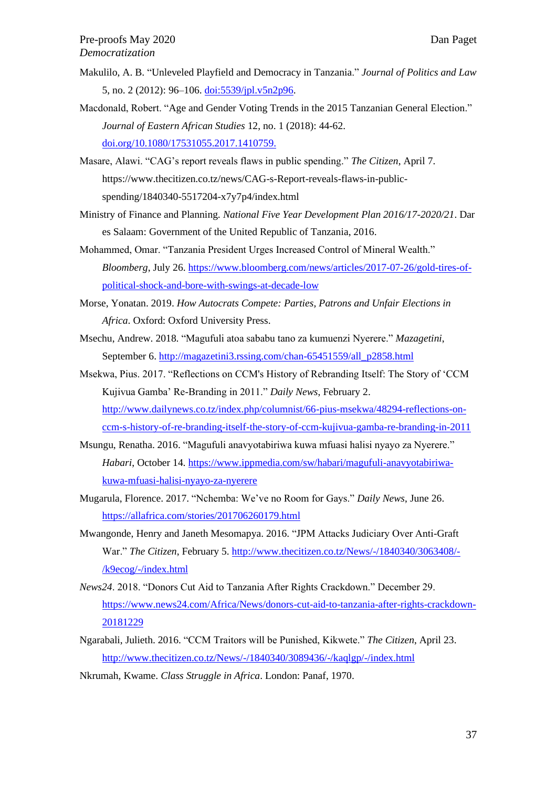- Makulilo, A. B. "Unleveled Playfield and Democracy in Tanzania." *Journal of Politics and Law* 5, no. 2 (2012): 96–106. [doi:5539/jpl.v5n2p96.](http://doi:5539/jpl.v5n2p96)
- Macdonald, Robert. "Age and Gender Voting Trends in the 2015 Tanzanian General Election." *Journal of Eastern African Studies* 12, no. 1 (2018): 44-62. [doi.org/10.1080/17531055.2017.1410759.](https://doi.org/10.1080/17531055.2017.1410759)
- Masare, Alawi. "CAG's report reveals flaws in public spending." *The Citizen*, April 7. https://www.thecitizen.co.tz/news/CAG-s-Report-reveals-flaws-in-publicspending/1840340-5517204-x7y7p4/index.html
- Ministry of Finance and Planning. *National Five Year Development Plan 2016/17-2020/21*. Dar es Salaam: Government of the United Republic of Tanzania, 2016.
- Mohammed, Omar. "Tanzania President Urges Increased Control of Mineral Wealth." *Bloomberg*, July 26. [https://www.bloomberg.com/news/articles/2017-07-26/gold-tires-of](https://www.bloomberg.com/news/articles/2017-07-26/gold-tires-of-political-shock-and-bore-with-swings-at-decade-low)[political-shock-and-bore-with-swings-at-decade-low](https://www.bloomberg.com/news/articles/2017-07-26/gold-tires-of-political-shock-and-bore-with-swings-at-decade-low)
- Morse, Yonatan. 2019. *How Autocrats Compete: Parties, Patrons and Unfair Elections in Africa*. Oxford: Oxford University Press.
- Msechu, Andrew. 2018. "Magufuli atoa sababu tano za kumuenzi Nyerere." *Mazagetini*, September 6. [http://magazetini3.rssing.com/chan-65451559/all\\_p2858.html](http://magazetini3.rssing.com/chan-65451559/all_p2858.html)
- Msekwa, Pius. 2017. "Reflections on CCM's History of Rebranding Itself: The Story of 'CCM Kujivua Gamba' Re-Branding in 2011." *Daily News*, February 2. [http://www.dailynews.co.tz/index.php/columnist/66-pius-msekwa/48294-reflections-on](http://www.dailynews.co.tz/index.php/columnist/66-pius-msekwa/48294-reflections-on-ccm-s-history-of-re-branding-itself-the-story-of-ccm-kujivua-gamba-re-branding-in-2011)[ccm-s-history-of-re-branding-itself-the-story-of-ccm-kujivua-gamba-re-branding-in-2011](http://www.dailynews.co.tz/index.php/columnist/66-pius-msekwa/48294-reflections-on-ccm-s-history-of-re-branding-itself-the-story-of-ccm-kujivua-gamba-re-branding-in-2011)
- Msungu, Renatha. 2016. "Magufuli anavyotabiriwa kuwa mfuasi halisi nyayo za Nyerere." *Habari*, October 14. [https://www.ippmedia.com/sw/habari/magufuli-anavyotabiriwa](https://www.ippmedia.com/sw/habari/magufuli-anavyotabiriwa-kuwa-mfuasi-halisi-nyayo-za-nyerere)[kuwa-mfuasi-halisi-nyayo-za-nyerere](https://www.ippmedia.com/sw/habari/magufuli-anavyotabiriwa-kuwa-mfuasi-halisi-nyayo-za-nyerere)
- Mugarula, Florence. 2017. "Nchemba: We've no Room for Gays." *Daily News*, June 26. <https://allafrica.com/stories/201706260179.html>
- Mwangonde, Henry and Janeth Mesomapya. 2016. "JPM Attacks Judiciary Over Anti-Graft War." *The Citizen*, February 5. [http://www.thecitizen.co.tz/News/-/1840340/3063408/-](http://www.thecitizen.co.tz/News/-/1840340/3063408/-/k9ecog/-/index.html) [/k9ecog/-/index.html](http://www.thecitizen.co.tz/News/-/1840340/3063408/-/k9ecog/-/index.html)
- *News24*. 2018. "Donors Cut Aid to Tanzania After Rights Crackdown." December 29. [https://www.news24.com/Africa/News/donors-cut-aid-to-tanzania-after-rights-crackdown-](https://www.news24.com/Africa/News/donors-cut-aid-to-tanzania-after-rights-crackdown-20181229)[20181229](https://www.news24.com/Africa/News/donors-cut-aid-to-tanzania-after-rights-crackdown-20181229)
- Ngarabali, Julieth. 2016. "CCM Traitors will be Punished, Kikwete." *The Citizen*, April 23. <http://www.thecitizen.co.tz/News/-/1840340/3089436/-/kaqlgp/-/index.html>
- Nkrumah, Kwame. *Class Struggle in Africa*. London: Panaf, 1970.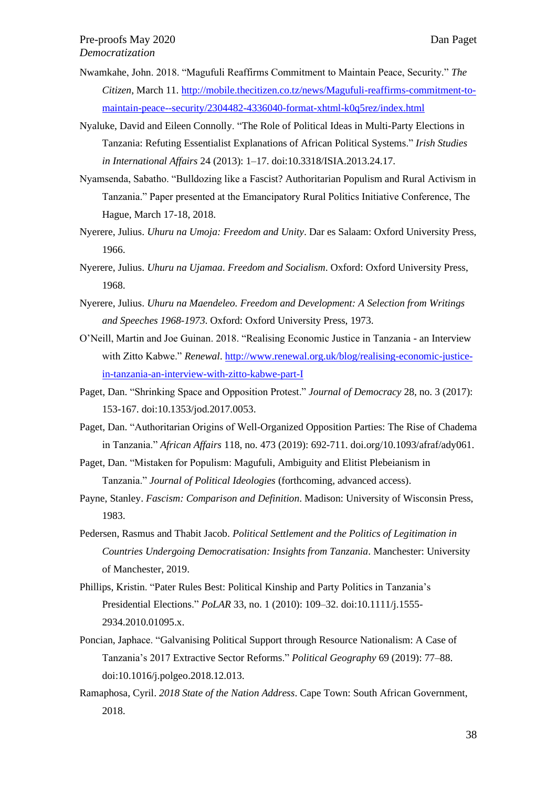- Nwamkahe, John. 2018. "Magufuli Reaffirms Commitment to Maintain Peace, Security." *The Citizen*, March 11. [http://mobile.thecitizen.co.tz/news/Magufuli-reaffirms-commitment-to](http://mobile.thecitizen.co.tz/news/Magufuli-reaffirms-commitment-to-maintain-peace--security/2304482-4336040-format-xhtml-k0q5rez/index.html)[maintain-peace--security/2304482-4336040-format-xhtml-k0q5rez/index.html](http://mobile.thecitizen.co.tz/news/Magufuli-reaffirms-commitment-to-maintain-peace--security/2304482-4336040-format-xhtml-k0q5rez/index.html)
- Nyaluke, David and Eileen Connolly. "The Role of Political Ideas in Multi-Party Elections in Tanzania: Refuting Essentialist Explanations of African Political Systems." *Irish Studies in International Affairs* 24 (2013): 1–17. doi:10.3318/ISIA.2013.24.17.
- Nyamsenda, Sabatho. "Bulldozing like a Fascist? Authoritarian Populism and Rural Activism in Tanzania." Paper presented at the Emancipatory Rural Politics Initiative Conference, The Hague, March 17-18, 2018.
- Nyerere, Julius. *Uhuru na Umoja: Freedom and Unity*. Dar es Salaam: Oxford University Press, 1966.
- Nyerere, Julius. *Uhuru na Ujamaa*. *Freedom and Socialism*. Oxford: Oxford University Press, 1968.
- Nyerere, Julius. *Uhuru na Maendeleo. Freedom and Development: A Selection from Writings and Speeches 1968-1973*. Oxford: Oxford University Press, 1973.
- O'Neill, Martin and Joe Guinan. 2018. "Realising Economic Justice in Tanzania an Interview with Zitto Kabwe." *Renewal*. [http://www.renewal.org.uk/blog/realising-economic-justice](http://www.renewal.org.uk/blog/realising-economic-justice-in-tanzania-an-interview-with-zitto-kabwe-part-I)[in-tanzania-an-interview-with-zitto-kabwe-part-I](http://www.renewal.org.uk/blog/realising-economic-justice-in-tanzania-an-interview-with-zitto-kabwe-part-I)
- Paget, Dan. "Shrinking Space and Opposition Protest." *Journal of Democracy* 28, no. 3 (2017): 153-167. doi:10.1353/jod.2017.0053.
- Paget, Dan. "Authoritarian Origins of Well-Organized Opposition Parties: The Rise of Chadema in Tanzania." *African Affairs* 118, no. 473 (2019): 692-711. doi.org/10.1093/afraf/ady061.
- Paget, Dan. "Mistaken for Populism: Magufuli, Ambiguity and Elitist Plebeianism in Tanzania." *Journal of Political Ideologies* (forthcoming, advanced access).
- Payne, Stanley. *Fascism: Comparison and Definition*. Madison: University of Wisconsin Press, 1983.
- Pedersen, Rasmus and Thabit Jacob. *Political Settlement and the Politics of Legitimation in Countries Undergoing Democratisation: Insights from Tanzania*. Manchester: University of Manchester, 2019.
- Phillips, Kristin. "Pater Rules Best: Political Kinship and Party Politics in Tanzania's Presidential Elections." *PoLAR* 33, no. 1 (2010): 109–32. doi:10.1111/j.1555- 2934.2010.01095.x.
- Poncian, Japhace. "Galvanising Political Support through Resource Nationalism: A Case of Tanzania's 2017 Extractive Sector Reforms." *Political Geography* 69 (2019): 77–88. doi:10.1016/j.polgeo.2018.12.013.
- Ramaphosa, Cyril. *2018 State of the Nation Address*. Cape Town: South African Government, 2018.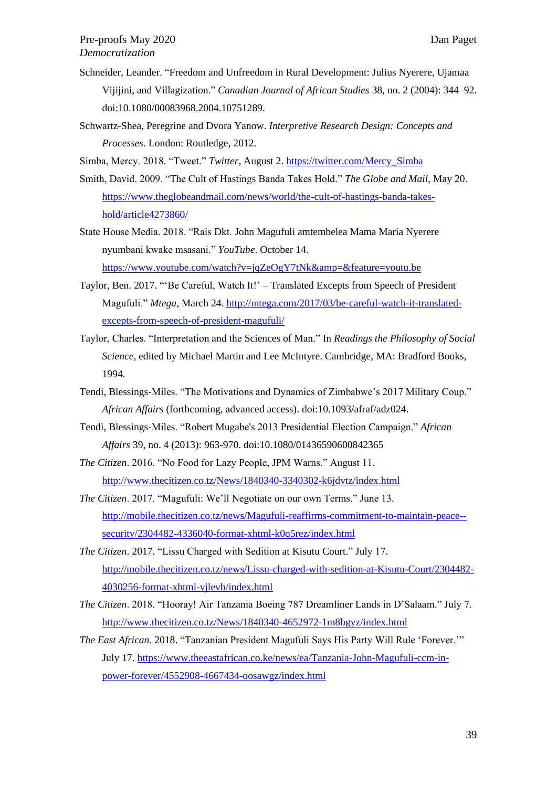- Schneider, Leander. "Freedom and Unfreedom in Rural Development: Julius Nyerere, Ujamaa Vijijini, and Villagization." *Canadian Journal of African Studies* 38, no. 2 (2004): 344–92. doi:10.1080/00083968.2004.10751289.
- Schwartz-Shea, Peregrine and Dvora Yanow. *Interpretive Research Design: Concepts and Processes*. London: Routledge, 2012.
- Simba, Mercy. 2018. "Tweet." *Twitter*, August 2. [https://twitter.com/Mercy\\_Simba](https://twitter.com/Mercy_Simba)
- Smith, David. 2009. "The Cult of Hastings Banda Takes Hold." *The Globe and Mail*, May 20. [https://www.theglobeandmail.com/news/world/the-cult-of-hastings-banda-takes](https://www.theglobeandmail.com/news/world/the-cult-of-hastings-banda-takes-hold/article4273860/)[hold/article4273860/](https://www.theglobeandmail.com/news/world/the-cult-of-hastings-banda-takes-hold/article4273860/)
- State House Media. 2018. "Rais Dkt. John Magufuli amtembelea Mama Maria Nyerere nyumbani kwake msasani." *YouTube*. October 14. [https://www.youtube.com/watch?v=jqZeOgY7tNk&amp=&feature=youtu.be](https://www.youtube.com/watch?v=jqZeOgY7tNk&=&feature=youtu.be)
- Taylor, Ben. 2017. "'Be Careful, Watch It!' Translated Excepts from Speech of President Magufuli." *Mtega*, March 24. [http://mtega.com/2017/03/be-careful-watch-it-translated](http://mtega.com/2017/03/be-careful-watch-it-translated-excepts-from-speech-of-president-magufuli/)[excepts-from-speech-of-president-magufuli/](http://mtega.com/2017/03/be-careful-watch-it-translated-excepts-from-speech-of-president-magufuli/)
- Taylor, Charles. "Interpretation and the Sciences of Man." In *Readings the Philosophy of Social Science*, edited by Michael Martin and Lee McIntyre. Cambridge, MA: Bradford Books, 1994.
- Tendi, Blessings-Miles. "The Motivations and Dynamics of Zimbabwe's 2017 Military Coup." *African Affairs* (forthcoming, advanced access). doi:10.1093/afraf/adz024.
- Tendi, Blessings-Miles. "Robert Mugabe's 2013 Presidential Election Campaign." *African Affairs* 39, no. 4 (2013): 963-970. doi:10.1080/01436590600842365
- *The Citizen*. 2016. "No Food for Lazy People, JPM Warns." August 11. <http://www.thecitizen.co.tz/News/1840340-3340302-k6jdvtz/index.html>
- *The Citizen*. 2017. "Magufuli: We'll Negotiate on our own Terms." June 13. [http://mobile.thecitizen.co.tz/news/Magufuli-reaffirms-commitment-to-maintain-peace-](http://mobile.thecitizen.co.tz/news/Magufuli-reaffirms-commitment-to-maintain-peace--security/2304482-4336040-format-xhtml-k0q5rez/index.html) [security/2304482-4336040-format-xhtml-k0q5rez/index.html](http://mobile.thecitizen.co.tz/news/Magufuli-reaffirms-commitment-to-maintain-peace--security/2304482-4336040-format-xhtml-k0q5rez/index.html)
- *The Citizen*. 2017. "Lissu Charged with Sedition at Kisutu Court." July 17. [http://mobile.thecitizen.co.tz/news/Lissu-charged-with-sedition-at-Kisutu-Court/2304482-](http://mobile.thecitizen.co.tz/news/Lissu-charged-with-sedition-at-Kisutu-Court/2304482-4030256-format-xhtml-vjlevh/index.html) [4030256-format-xhtml-vjlevh/index.html](http://mobile.thecitizen.co.tz/news/Lissu-charged-with-sedition-at-Kisutu-Court/2304482-4030256-format-xhtml-vjlevh/index.html)
- *The Citizen*. 2018. "Hooray! Air Tanzania Boeing 787 Dreamliner Lands in D'Salaam." July 7. <http://www.thecitizen.co.tz/News/1840340-4652972-1m8bgyz/index.html>
- *The East African*. 2018. "Tanzanian President Magufuli Says His Party Will Rule 'Forever.'" July 17. [https://www.theeastafrican.co.ke/news/ea/Tanzania-John-Magufuli-ccm-in](https://www.theeastafrican.co.ke/news/ea/Tanzania-John-Magufuli-ccm-in-power-forever/4552908-4667434-oosawgz/index.html)[power-forever/4552908-4667434-oosawgz/index.html](https://www.theeastafrican.co.ke/news/ea/Tanzania-John-Magufuli-ccm-in-power-forever/4552908-4667434-oosawgz/index.html)